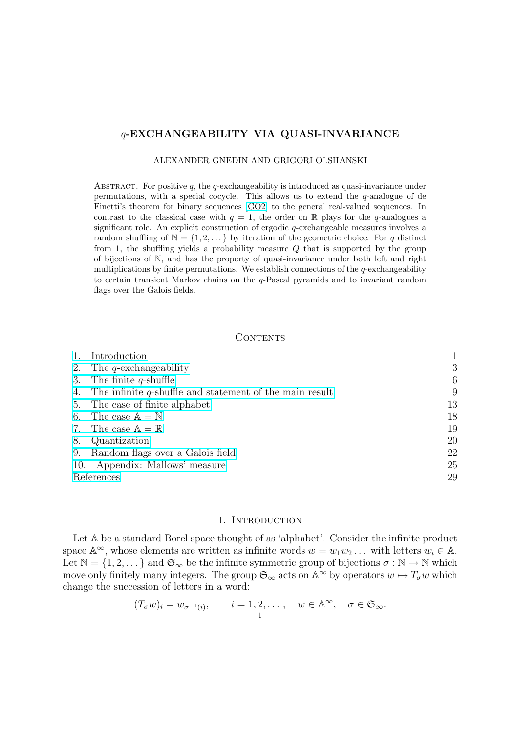# q-EXCHANGEABILITY VIA QUASI-INVARIANCE

#### ALEXANDER GNEDIN AND GRIGORI OLSHANSKI

ABSTRACT. For positive  $q$ , the q-exchangeability is introduced as quasi-invariance under permutations, with a special cocycle. This allows us to extend the  $q$ -analogue of de Finetti's theorem for binary sequences [GO2] to the general real-valued sequences. In contrast to the classical case with  $q = 1$ , the order on R plays for the q-analogues a significant role. An explicit construction of ergodic q-exchangeable measures involves a random shuffling of  $\mathbb{N} = \{1, 2, \dots\}$  by iteration of the geometric choice. For q distinct from 1, the shuffling yields a probabili[ty me](#page-29-0)asure Q that is supported by the group of bijections of N, and has the property of quasi-invariance under both left and right multiplications by finite permutations. We establish connections of the  $q$ -exchangeability to certain transient Markov chains on the q-Pascal pyramids and to invariant random flags over the Galois fields.

## CONTENTS

|            | Introduction                                                  |    |
|------------|---------------------------------------------------------------|----|
| 2.         | The <i>q</i> -exchangeability                                 | 3  |
|            | 3. The finite $q$ -shuffle                                    | 6  |
|            | 4. The infinite $q$ -shuffle and statement of the main result | 9  |
|            | 5. The case of finite alphabet                                | 13 |
|            | 6. The case $\mathbb{A} = \mathbb{N}$                         | 18 |
|            | 7. The case $\mathbb{A} = \mathbb{R}$                         | 19 |
| 8.         | Quantization                                                  | 20 |
|            | 9. Random flags over a Galois field                           | 22 |
|            | 10. Appendix: Mallows' measure                                | 25 |
| References |                                                               | 29 |

## 1. INTRODUCTION

Let  $A$  be a standard Borel space thought of as 'alphabet'. Consider the infinite product space  $\mathbb{A}^{\infty}$ , whose elements are written as infinite words  $w = w_1 w_2 \dots$  with letters  $w_i \in \mathbb{A}$ . Let  $\mathbb{N} = \{1, 2, \dots\}$  and  $\mathfrak{S}_{\infty}$  be the infinite symmetric group of bijections  $\sigma : \mathbb{N} \to \mathbb{N}$  which move only finitely many integers. The group  $\mathfrak{S}_{\infty}$  acts on  $\mathbb{A}^{\infty}$  by operators  $w \mapsto T_{\sigma}w$  which change the succession of letters in a word:

$$
(T_{\sigma}w)_i = w_{\sigma^{-1}(i)},
$$
  $i = 1, 2, ..., w \in \mathbb{A}^{\infty}, \sigma \in \mathfrak{S}_{\infty}.$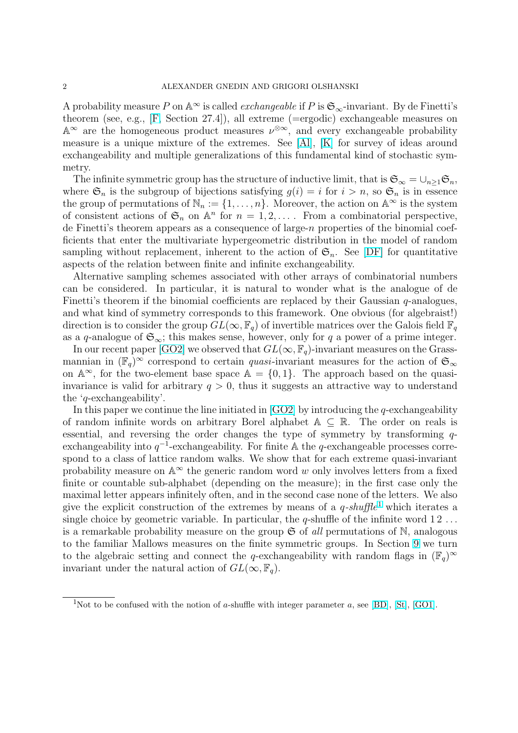A probability measure P on  $\mathbb{A}^{\infty}$  is called *exchangeable* if P is  $\mathfrak{S}_{\infty}$ -invariant. By de Finetti's theorem (see, e.g., [F, Section 27.4]), all extreme (=ergodic) exchangeable measures on  $\mathbb{A}^{\infty}$  are the homogeneous product measures  $\nu^{\otimes \infty}$ , and every exchangeable probability measure is a unique mixture of the extremes. See [Al], [K] for survey of ideas around exchangeability and [m](#page-28-0)ultiple generalizations of this fundamental kind of stochastic symmetry.

The infinite symmetric group has the structure of inducti[ve](#page-29-0) limit, that is  $\mathfrak{S}_{\infty} = \bigcup_{n>1} \mathfrak{S}_n$ , where  $\mathfrak{S}_n$  is the subgroup of bijections satisfying  $g(i) = i$  $g(i) = i$  $g(i) = i$  for  $i > n$ , so  $\mathfrak{S}_n$  is in essence the group of permutations of  $\mathbb{N}_n := \{1, \ldots, n\}$ . Moreover, the action on  $\mathbb{A}^{\infty}$  is the system of consistent actions of  $\mathfrak{S}_n$  on  $\mathbb{A}^n$  for  $n = 1, 2, \ldots$ . From a combinatorial perspective, de Finetti's theorem appears as a consequence of large-n properties of the binomial coefficients that enter the multivariate hypergeometric distribution in the model of random sampling without replacement, inherent to the action of  $\mathfrak{S}_n$ . See [DF] for quantitative aspects of the relation between finite and infinite exchangeability.

Alternative sampling schemes associated with other arrays of combinatorial numbers can be considered. In particular, it is natural to wonder what is the analogue of de Finetti's theorem if the binomial coefficients are replaced by their [Gaus](#page-28-0)sian  $q$ -analogues, and what kind of symmetry corresponds to this framework. One obvious (for algebraist!) direction is to consider the group  $GL(\infty, \mathbb{F}_q)$  of invertible matrices over the Galois field  $\mathbb{F}_q$ as a q-analogue of  $\mathfrak{S}_{\infty}$ ; this makes sense, however, only for q a power of a prime integer.

In our recent paper [GO2] we observed that  $GL(\infty, \mathbb{F}_q)$ -invariant measures on the Grassmannian in  $(\mathbb{F}_q)^\infty$  correspond to certain *quasi*-invariant measures for the action of  $\mathfrak{S}_\infty$ on  $\mathbb{A}^{\infty}$ , for the two-element base space  $\mathbb{A} = \{0,1\}$ . The approach based on the quasiinvariance is valid for [arbit](#page-29-0)rary  $q > 0$ , thus it suggests an attractive way to understand the 'q-exchangeability'.

In this paper we continue the line initiated in  $[GO2]$  by introducing the q-exchangeability of random infinite words on arbitrary Borel alphabet  $A \subseteq \mathbb{R}$ . The order on reals is essential, and reversing the order changes the type of symmetry by transforming  $q$ exchangeability into  $q^{-1}$ -exchangeability. For finite A the q-exchangeable processes correspond to a class of lattice random walks. We s[how t](#page-29-0)hat for each extreme quasi-invariant probability measure on  $\mathbb{A}^{\infty}$  the generic random word w only involves letters from a fixed finite or countable sub-alphabet (depending on the measure); in the first case only the maximal letter appears infinitely often, and in the second case none of the letters. We also give the explicit construction of the extremes by means of a  $q\text{-}shuffle^1$  which iterates a single choice by geometric variable. In particular, the  $q$ -shuffle of the infinite word  $12...$ is a remarkable probability measure on the group  $\mathfrak S$  of all permutations of N, analogous to the familiar Mallows measures on the finite symmetric groups. In Section 9 we turn to the algebraic setting and connect the q-exchangeability with random flags in  $(\mathbb{F}_q)^\infty$ invariant under the natural action of  $GL(\infty, \mathbb{F}_q)$ .

<sup>&</sup>lt;sup>1</sup>Not to be confused with the notion of a-shuffle with integer parameter a, see [BD], [St], [GO1].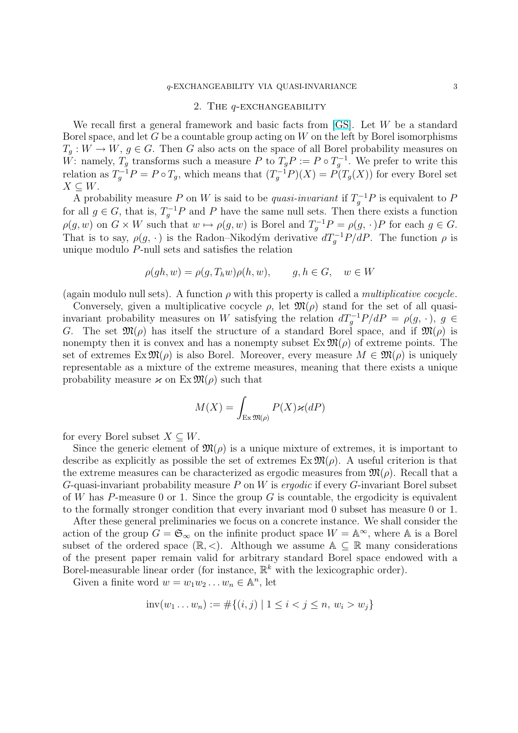#### 2. The q-exchangeability

<span id="page-2-0"></span>We recall first a general framework and basic facts from [GS]. Let W be a standard Borel space, and let G be a countable group acting on  $W$  on the left by Borel isomorphisms  $T_q: W \to W, g \in G$ . Then G also acts on the space of all Borel probability measures on W: namely,  $T_g$  transforms such a measure P to  $T_g P := P \circ T_g^{-1}$ . We prefer to write this relation as  $T_g^{-1}P = P \circ T_g$  $T_g^{-1}P = P \circ T_g$ , which means that  $(T_g^{-1}P)(X) = P(T_g(X))$  for every Borel set  $X \subseteq W$ .

A probability measure P on W is said to be quasi-invariant if  $T_g^{-1}P$  is equivalent to P for all  $g \in G$ , that is,  $T_g^{-1}P$  and P have the same null sets. Then there exists a function  $\rho(g, w)$  on  $G \times W$  such that  $w \mapsto \rho(g, w)$  is Borel and  $T_g^{-1}P = \rho(g, \cdot)P$  for each  $g \in G$ . That is to say,  $\rho(g, \cdot)$  is the Radon–Nikodým derivative  $dT_g^{-1}P/dP$ . The function  $\rho$  is unique modulo P-null sets and satisfies the relation

$$
\rho(gh, w) = \rho(g, T_h w)\rho(h, w), \qquad g, h \in G, \quad w \in W
$$

(again modulo null sets). A function  $\rho$  with this property is called a *multiplicative cocycle*.

Conversely, given a multiplicative cocycle  $\rho$ , let  $\mathfrak{M}(\rho)$  stand for the set of all quasiinvariant probability measures on W satisfying the relation  $dT_g^{-1}P/dP = \rho(g, \cdot), g \in$ G. The set  $\mathfrak{M}(\rho)$  has itself the structure of a standard Borel space, and if  $\mathfrak{M}(\rho)$  is nonempty then it is convex and has a nonempty subset  $\operatorname{Ex} \mathfrak{M}(\rho)$  of extreme points. The set of extremes  $\text{Ex} \mathfrak{M}(\rho)$  is also Borel. Moreover, every measure  $M \in \mathfrak{M}(\rho)$  is uniquely representable as a mixture of the extreme measures, meaning that there exists a unique probability measure  $\varkappa$  on  $\operatorname{Ex} \mathfrak{M}(\rho)$  such that

$$
M(X) = \int_{\text{Ex } \mathfrak{M}(\rho)} P(X) \varkappa(dP)
$$

for every Borel subset  $X \subseteq W$ .

Since the generic element of  $\mathfrak{M}(\rho)$  is a unique mixture of extremes, it is important to describe as explicitly as possible the set of extremes  $\mathbb{E} \mathbf{x} \mathfrak{M}(\rho)$ . A useful criterion is that the extreme measures can be characterized as ergodic measures from  $\mathfrak{M}(\rho)$ . Recall that a G-quasi-invariant probability measure  $P$  on  $W$  is *ergodic* if every G-invariant Borel subset of W has P-measure 0 or 1. Since the group G is countable, the ergodicity is equivalent to the formally stronger condition that every invariant mod 0 subset has measure 0 or 1.

After these general preliminaries we focus on a concrete instance. We shall consider the action of the group  $G = \mathfrak{S}_{\infty}$  on the infinite product space  $W = \mathbb{A}^{\infty}$ , where  $\mathbb{A}$  is a Borel subset of the ordered space  $(\mathbb{R}, <)$ . Although we assume  $\mathbb{A} \subseteq \mathbb{R}$  many considerations of the present paper remain valid for arbitrary standard Borel space endowed with a Borel-measurable linear order (for instance,  $\mathbb{R}^k$  with the lexicographic order).

Given a finite word  $w = w_1 w_2 ... w_n \in \mathbb{A}^n$ , let

$$
inv(w_1...w_n) := \#\{(i,j) \mid 1 \le i < j \le n, w_i > w_j\}
$$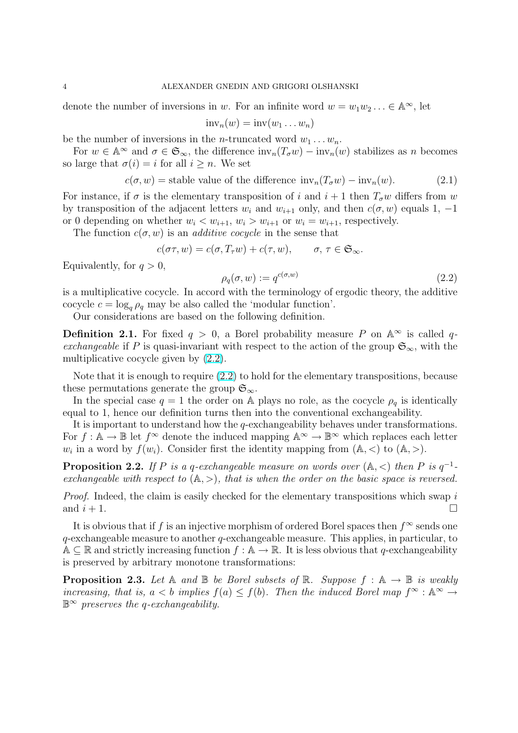<span id="page-3-0"></span>denote the number of inversions in w. For an infinite word  $w = w_1 w_2 ... \in A^{\infty}$ , let

$$
\mathrm{inv}_n(w) = \mathrm{inv}(w_1 \dots w_n)
$$

be the number of inversions in the *n*-truncated word  $w_1 \ldots w_n$ .

For  $w \in \mathbb{A}^{\infty}$  and  $\sigma \in \mathfrak{S}_{\infty}$ , the difference  $\text{inv}_n(T_{\sigma}w) - \text{inv}_n(w)$  stabilizes as n becomes so large that  $\sigma(i) = i$  for all  $i \geq n$ . We set

$$
c(\sigma, w) = \text{stable value of the difference inv}_n(T_\sigma w) - \text{inv}_n(w). \tag{2.1}
$$

For instance, if  $\sigma$  is the elementary transposition of i and  $i + 1$  then  $T_{\sigma}w$  differs from w by transposition of the adjacent letters  $w_i$  and  $w_{i+1}$  only, and then  $c(\sigma, w)$  equals 1, -1 or 0 depending on whether  $w_i < w_{i+1}$ ,  $w_i > w_{i+1}$  or  $w_i = w_{i+1}$ , respectively.

The function  $c(\sigma, w)$  is an *additive cocycle* in the sense that

$$
c(\sigma \tau, w) = c(\sigma, T_{\tau}w) + c(\tau, w), \qquad \sigma, \tau \in \mathfrak{S}_{\infty}.
$$

Equivalently, for  $q > 0$ ,

$$
\rho_q(\sigma, w) := q^{c(\sigma, w)} \tag{2.2}
$$

is a multiplicative cocycle. In accord with the terminology of ergodic theory, the additive cocycle  $c = \log_q \rho_q$  may be also called the 'modular function'.

Our considerations are based on the following definition.

**Definition 2.1.** For fixed  $q > 0$ , a Borel probability measure P on  $\mathbb{A}^{\infty}$  is called qexchangeable if P is quasi-invariant with respect to the action of the group  $\mathfrak{S}_{\infty}$ , with the multiplicative cocycle given by (2.2).

Note that it is enough to require (2.2) to hold for the elementary transpositions, because these permutations generate the group  $\mathfrak{S}_{\infty}$ .

In the special case  $q = 1$  the order on A plays no role, as the cocycle  $\rho_q$  is identically equal to 1, hence our definition turns then into the conventional exchangeability.

It is important to understand how the q-exchangeability behaves under transformations. For  $f: \mathbb{A} \to \mathbb{B}$  let  $f^{\infty}$  denote the induced mapping  $\mathbb{A}^{\infty} \to \mathbb{B}^{\infty}$  which replaces each letter  $w_i$  in a word by  $f(w_i)$ . Consider first the identity mapping from  $(A, <)$  to  $(A, >)$ .

**Proposition 2.2.** If P is a q-exchangeable measure on words over  $(A, \leq)$  then P is  $q^{-1}$ exchangeable with respect to  $(A, >)$ , that is when the order on the basic space is reversed.

*Proof.* Indeed, the claim is easily checked for the elementary transpositions which swap  $i$ and  $i + 1$ .

It is obvious that if f is an injective morphism of ordered Borel spaces then  $f^{\infty}$  sends one  $q$ -exchangeable measure to another  $q$ -exchangeable measure. This applies, in particular, to  $A \subseteq \mathbb{R}$  and strictly increasing function  $f : A \to \mathbb{R}$ . It is less obvious that q-exchangeability is preserved by arbitrary monotone transformations:

**Proposition 2.3.** Let A and B be Borel subsets of R. Suppose  $f : A \rightarrow B$  is weakly increasing, that is,  $a < b$  implies  $f(a) \leq f(b)$ . Then the induced Borel map  $f^{\infty} : \mathbb{A}^{\infty} \to$  $\mathbb{B}^{\infty}$  preserves the q-exchangeability.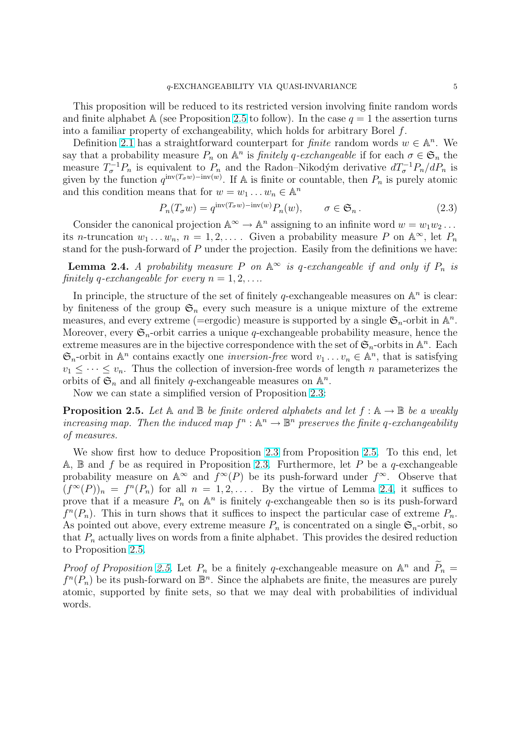<span id="page-4-0"></span>This proposition will be reduced to its restricted version involving finite random words and finite alphabet A (see Proposition 2.5 to follow). In the case  $q = 1$  the assertion turns into a familiar property of exchangeability, which holds for arbitrary Borel f.

Definition 2.1 has a straightforward counterpart for *finite* random words  $w \in \mathbb{A}^n$ . We say that a probability measure  $P_n$  on  $\mathbb{A}^n$  is *finitely q-exchangeable* if for each  $\sigma \in \mathfrak{S}_n$  the measure  $T_{\sigma}^{-1}P_n$  is equivalent to  $P_n$  and the Radon–Nikodým derivative  $dT_{\sigma}^{-1}P_n/dP_n$  is given by the function  $q^{\text{inv}(T_{\sigma}w)-\text{inv}(w)}$ . If A is finite or countable, then  $P_n$  is purely atomic and this con[ditio](#page-3-0)n means that for  $w = w_1 \dots w_n \in \mathbb{A}^n$ 

$$
P_n(T_{\sigma}w) = q^{\text{inv}(T_{\sigma}w) - \text{inv}(w)} P_n(w), \qquad \sigma \in \mathfrak{S}_n. \tag{2.3}
$$

Consider the canonical projection  $\mathbb{A}^{\infty} \to \mathbb{A}^n$  assigning to an infinite word  $w = w_1w_2 \dots$ its *n*-truncation  $w_1 \ldots w_n$ ,  $n = 1, 2, \ldots$ . Given a probability measure P on  $\mathbb{A}^{\infty}$ , let  $P_n$ stand for the push-forward of  $P$  under the projection. Easily from the definitions we have:

**Lemma 2.4.** A probability measure P on  $\mathbb{A}^{\infty}$  is q-exchangeable if and only if  $P_n$  is finitely q-exchangeable for every  $n = 1, 2, \ldots$ 

In principle, the structure of the set of finitely q-exchangeable measures on  $\mathbb{A}^n$  is clear: by finiteness of the group  $\mathfrak{S}_n$  every such measure is a unique mixture of the extreme measures, and every extreme (=ergodic) measure is supported by a single  $\mathfrak{S}_n$ -orbit in  $\mathbb{A}^n$ . Moreover, every  $\mathfrak{S}_n$ -orbit carries a unique q-exchangeable probability measure, hence the extreme measures are in the bijective correspondence with the set of  $\mathfrak{S}_n$ -orbits in  $\mathbb{A}^n$ . Each  $\mathfrak{S}_n$ -orbit in  $\mathbb{A}^n$  contains exactly one *inversion-free* word  $v_1 \dots v_n \in \mathbb{A}^n$ , that is satisfying  $v_1 \leq \cdots \leq v_n$ . Thus the collection of inversion-free words of length *n* parameterizes the orbits of  $\mathfrak{S}_n$  and all finitely q-exchangeable measures on  $\mathbb{A}^n$ .

Now we can state a simplified version of Proposition 2.3:

**Proposition 2.5.** Let A and B be finite ordered alphabets and let  $f : A \rightarrow B$  be a weakly increasing map. Then the induced map  $f^n : \mathbb{A}^n \to \mathbb{B}^n$  preserves the finite q-exchangeability of measures.

We show first how to deduce Proposition 2.3 from Proposition 2.5. To this end, let A,  $\mathbb B$  and f be as required in Proposition 2.3. Furthermore, let P be a q-exchangeable probability measure on  $\mathbb{A}^{\infty}$  and  $f^{\infty}(P)$  be its push-forward under  $f^{\infty}$ . Observe that  $(f^{\infty}(P))_n = f^n(P_n)$  for all  $n = 1, 2, \ldots$ . By the virtue of Lemma 2.4, it suffices to prove that if a measure  $P_n$  on  $\mathbb{A}^n$  is finitely q[-ex](#page-3-0)changeable then so is its push-forward  $f^{n}(P_{n})$ . This in turn shows that it suffices [to](#page-3-0) inspect the particular case of extreme  $P_{n}$ . As pointed out above, every extreme measure  $P_n$  is concentrated on a single  $\mathfrak{S}_n$ -orbit, so that  $P_n$  actually lives on words from a finite alphabet. This provides the desired reduction to Proposition 2.5.

*Proof of Proposition 2.5.* Let  $P_n$  be a finitely q-exchangeable measure on  $\mathbb{A}^n$  and  $\widetilde{P}_n =$  $f^{n}(P_n)$  be its push-forward on  $\mathbb{B}^n$ . Since the alphabets are finite, the measures are purely atomic, supported by finite sets, so that we may deal with probabilities of individual words.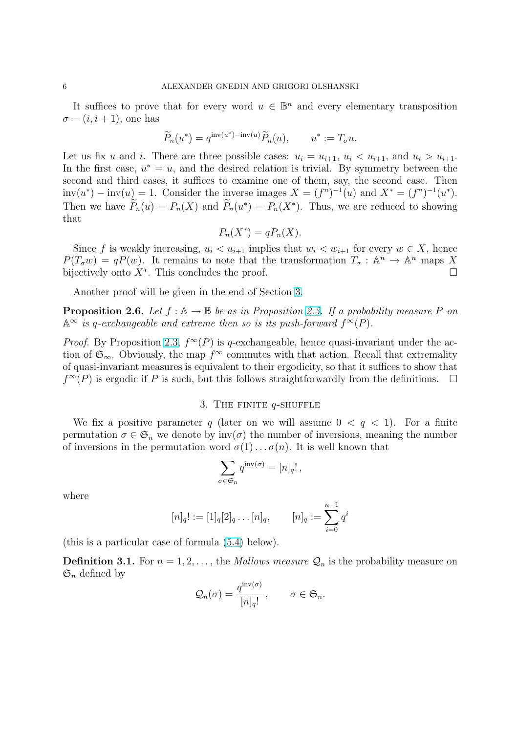<span id="page-5-0"></span>It suffices to prove that for every word  $u \in \mathbb{B}^n$  and every elementary transposition  $\sigma = (i, i + 1)$ , one has

$$
\widetilde{P}_n(u^*) = q^{\text{inv}(u^*) - \text{inv}(u)} \widetilde{P}_n(u), \qquad u^* := T_{\sigma} u.
$$

Let us fix u and i. There are three possible cases:  $u_i = u_{i+1}$ ,  $u_i < u_{i+1}$ , and  $u_i > u_{i+1}$ . In the first case,  $u^* = u$ , and the desired relation is trivial. By symmetry between the second and third cases, it suffices to examine one of them, say, the second case. Then  $inv(u^*) - inv(u) = 1$ . Consider the inverse images  $X = (f^n)^{-1}(u)$  and  $X^* = (f^n)^{-1}(u^*)$ . Then we have  $\widetilde{P}_n(u) = P_n(X)$  and  $\widetilde{P}_n(u^*) = P_n(X^*)$ . Thus, we are reduced to showing that

$$
P_n(X^*) = qP_n(X).
$$

Since f is weakly increasing,  $u_i < u_{i+1}$  implies that  $w_i < w_{i+1}$  for every  $w \in X$ , hence  $P(T_{\sigma} w) = qP(w)$ . It remains to note that the transformation  $T_{\sigma}: \mathbb{A}^n \to \mathbb{A}^n$  maps X bijectively onto  $X^*$ . This concludes the proof.  $\Box$ 

Another proof will be given in the end of Section 3.

**Proposition 2.6.** Let  $f : A \to B$  be as in Proposition 2.3. If a probability measure P on  $\mathbb{A}^{\infty}$  is q-exchangeable and extreme then so is its push-forward  $f^{\infty}(P)$ .

*Proof.* By Proposition 2.3,  $f^{\infty}(P)$  is q-exchangeable, hence quasi-invariant under the action of  $\mathfrak{S}_{\infty}$ . Obviously, the map  $f^{\infty}$  commutes with t[hat a](#page-3-0)ction. Recall that extremality of quasi-invariant measures is equivalent to their ergodicity, so that it suffices to show that  $f^{\infty}(P)$  is ergodic if P [is su](#page-3-0)ch, but this follows straightforwardly from the definitions.  $\Box$ 

## 3. THE FINITE  $q$ -SHUFFLE

We fix a positive parameter q (later on we will assume  $0 < q < 1$ ). For a finite permutation  $\sigma \in \mathfrak{S}_n$  we denote by  $inv(\sigma)$  the number of inversions, meaning the number of inversions in the permutation word  $\sigma(1) \ldots \sigma(n)$ . It is well known that

$$
\sum_{\sigma \in \mathfrak{S}_n} q^{\mathrm{inv}(\sigma)} = [n]_q!,
$$

where

$$
[n]_q! := [1]_q[2]_q \dots [n]_q, \qquad [n]_q := \sum_{i=0}^{n-1} q^i
$$

(this is a particular case of formula (5.4) below).

**Definition 3.1.** For  $n = 1, 2, \ldots$ , the *Mallows measure*  $\mathcal{Q}_n$  is the probability measure on  $\mathfrak{S}_n$  defined by

$$
\mathcal{Q}_n(\sigma) = \frac{q^{\operatorname{inv}(\sigma)}}{[n]_q!}, \qquad \sigma \in \mathfrak{S}_n.
$$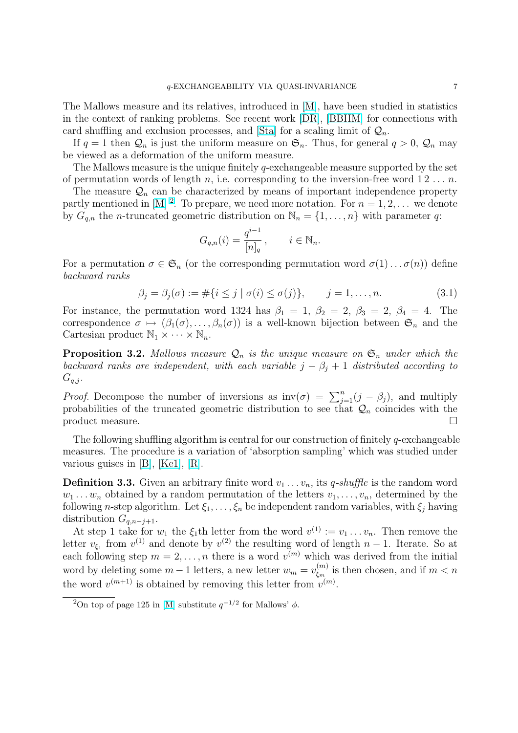<span id="page-6-0"></span>The Mallows measure and its relatives, introduced in [M], have been studied in statistics in the context of ranking problems. See recent work [DR], [BBHM] for connections with card shuffling and exclusion processes, and [Sta] for a scaling limit of  $\mathcal{Q}_n$ .

If  $q = 1$  then  $\mathcal{Q}_n$  is just the uniform measure on  $\mathfrak{S}_n$ [. T](#page-29-0)hus, for general  $q > 0$ ,  $\mathcal{Q}_n$  may be viewed as a deformation of the uniform measure.

The Mallows [measur](#page-28-0)e is the unique finitely  $q$ -exchan[geab](#page-28-0)le measure supported by the set of permutation words of length n, i.e. corre[spon](#page-29-0)ding to the inversion-free word  $1\,2\,\ldots\,n$ .

The measure  $\mathcal{Q}_n$  can be characterized by means of important independence property partly mentioned in [M]<sup>2</sup>. To prepare, we need more notation. For  $n = 1, 2, ...$  we denote by  $G_{q,n}$  the *n*-truncated geometric distribution on  $\mathbb{N}_n = \{1, \ldots, n\}$  with parameter q:

$$
G_{q,n}(i) = \frac{q^{i-1}}{[n]_q}, \qquad i \in \mathbb{N}_n.
$$

For a permutation  $\sigma \in \mathfrak{S}_n$  (or the corresponding permutation word  $\sigma(1) \ldots \sigma(n)$ ) define backward ranks

$$
\beta_j = \beta_j(\sigma) := \#\{i \le j \mid \sigma(i) \le \sigma(j)\}, \qquad j = 1, ..., n. \tag{3.1}
$$

For instance, the permutation word 1324 has  $\beta_1 = 1, \beta_2 = 2, \beta_3 = 2, \beta_4 = 4$ . The correspondence  $\sigma \mapsto (\beta_1(\sigma), \ldots, \beta_n(\sigma))$  is a well-known bijection between  $\mathfrak{S}_n$  and the Cartesian product  $\mathbb{N}_1 \times \cdots \times \mathbb{N}_n$ .

**Proposition 3.2.** Mallows measure  $\mathcal{Q}_n$  is the unique measure on  $\mathfrak{S}_n$  under which the backward ranks are independent, with each variable  $j - \beta_j + 1$  distributed according to  $G_{q,j}$ .

*Proof.* Decompose the number of inversions as  $inv(\sigma) = \sum_{j=1}^{n} (j - \beta_j)$ , and multiply probabilities of the truncated geometric distribution to see that  $\mathcal{Q}_n$  coincides with the product measure.

The following shuffling algorithm is central for our construction of finitely q-exchangeable measures. The procedure is a variation of 'absorption sampling' which was studied under various guises in [B], [Ke1], [R].

**Definition 3.3.** Given an arbitrary finite word  $v_1 \ldots v_n$ , its *q-shuffle* is the random word  $w_1 \ldots w_n$  obtained by a random permutation of the letters  $v_1, \ldots, v_n$ , determined by the following n-step a[lgo](#page-28-0)ri[thm.](#page-29-0) [Let](#page-29-0)  $\xi_1, \ldots, \xi_n$  be independent random variables, with  $\xi_j$  having distribution  $G_{q,n-j+1}$ .

At step 1 take for  $w_1$  the  $\xi_1$ th letter from the word  $v^{(1)} := v_1 \dots v_n$ . Then remove the letter  $v_{\xi_1}$  from  $v^{(1)}$  and denote by  $v^{(2)}$  the resulting word of length  $n-1$ . Iterate. So at each following step  $m = 2, \ldots, n$  there is a word  $v^{(m)}$  which was derived from the initial word by deleting some  $m-1$  letters, a new letter  $w_m = v_{\xi_m}^{(m)}$  $\zeta_m^{(m)}$  is then chosen, and if  $m < n$ the word  $v^{(m+1)}$  is obtained by removing this letter from  $v^{(m)}$ .

<sup>&</sup>lt;sup>2</sup>On top of page 125 in [M] substitute  $q^{-1/2}$  for Mallows'  $\phi$ .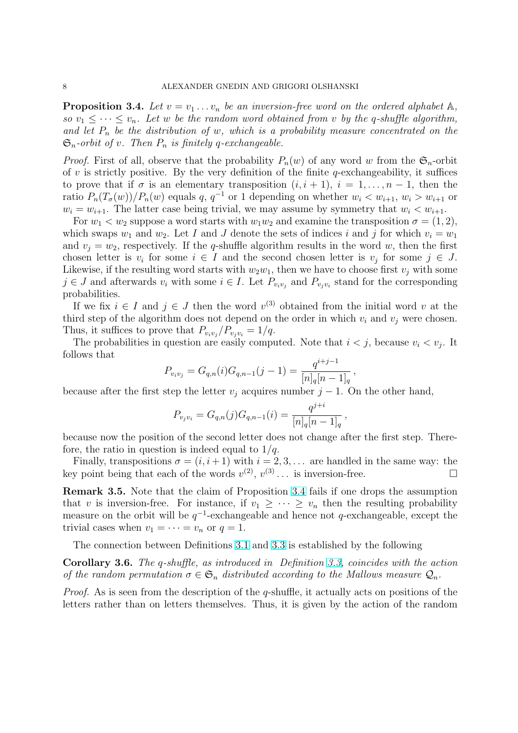**Proposition 3.4.** Let  $v = v_1 \ldots v_n$  be an inversion-free word on the ordered alphabet  $\mathbb{A}$ , so  $v_1 \leq \cdots \leq v_n$ . Let w be the random word obtained from v by the q-shuffle algorithm, and let  $P_n$  be the distribution of w, which is a probability measure concentrated on the  $\mathfrak{S}_n$ -orbit of v. Then  $P_n$  is finitely q-exchangeable.

*Proof.* First of all, observe that the probability  $P_n(w)$  of any word w from the  $\mathfrak{S}_n$ -orbit of  $v$  is strictly positive. By the very definition of the finite  $q$ -exchangeability, it suffices to prove that if  $\sigma$  is an elementary transposition  $(i, i + 1)$ ,  $i = 1, \ldots, n - 1$ , then the ratio  $P_n(T_\sigma(w))/P_n(w)$  equals  $q, q^{-1}$  or 1 depending on whether  $w_i < w_{i+1}, w_i > w_{i+1}$  or  $w_i = w_{i+1}$ . The latter case being trivial, we may assume by symmetry that  $w_i < w_{i+1}$ .

For  $w_1 < w_2$  suppose a word starts with  $w_1w_2$  and examine the transposition  $\sigma = (1, 2)$ , which swaps  $w_1$  and  $w_2$ . Let I and J denote the sets of indices i and j for which  $v_i = w_1$ and  $v_j = w_2$ , respectively. If the q-shuffle algorithm results in the word w, then the first chosen letter is  $v_i$  for some  $i \in I$  and the second chosen letter is  $v_j$  for some  $j \in J$ . Likewise, if the resulting word starts with  $w_2w_1$ , then we have to choose first  $v_j$  with some  $j \in J$  and afterwards  $v_i$  with some  $i \in I$ . Let  $P_{v_i v_j}$  and  $P_{v_j v_i}$  stand for the corresponding probabilities.

If we fix  $i \in I$  and  $j \in J$  then the word  $v^{(3)}$  obtained from the initial word v at the third step of the algorithm does not depend on the order in which  $v_i$  and  $v_j$  were chosen. Thus, it suffices to prove that  $P_{v_i v_j} / P_{v_j v_i} = 1/q$ .

The probabilities in question are easily computed. Note that  $i < j$ , because  $v_i < v_j$ . It follows that

$$
P_{v_i v_j} = G_{q,n}(i)G_{q,n-1}(j-1) = \frac{q^{i+j-1}}{[n]_q[n-1]_q},
$$

because after the first step the letter  $v_j$  acquires number  $j-1$ . On the other hand,

$$
P_{v_j v_i} = G_{q,n}(j) G_{q,n-1}(i) = \frac{q^{j+i}}{[n]_q [n-1]_q},
$$

because now the position of the second letter does not change after the first step. Therefore, the ratio in question is indeed equal to  $1/q$ .

Finally, transpositions  $\sigma = (i, i + 1)$  with  $i = 2, 3, \ldots$  are handled in the same way: the key point being that each of the words  $v^{(2)}$ ,  $v^{(3)}$ ... is inversion-free.

Remark 3.5. Note that the claim of Proposition 3.4 fails if one drops the assumption that v is inversion-free. For instance, if  $v_1 \geq \cdots \geq v_n$  then the resulting probability measure on the orbit will be  $q^{-1}$ -exchangeable and hence not q-exchangeable, except the trivial cases when  $v_1 = \cdots = v_n$  or  $q = 1$ .

The connection between Definitions 3.1 and 3.3 is established by the following

Corollary 3.6. The q-shuffle, as introduced in Definition 3.3, coincides with the action of the random permutation  $\sigma \in \mathfrak{S}_n$  distributed according to the Mallows measure  $\mathcal{Q}_n$ .

*Proof.* As is seen from the description [of th](#page-5-0)e  $q$ [-shu](#page-6-0)ffle, it actually acts on positions of the letters rather than on letters themselves. Thus, it is given [by](#page-6-0) the action of the random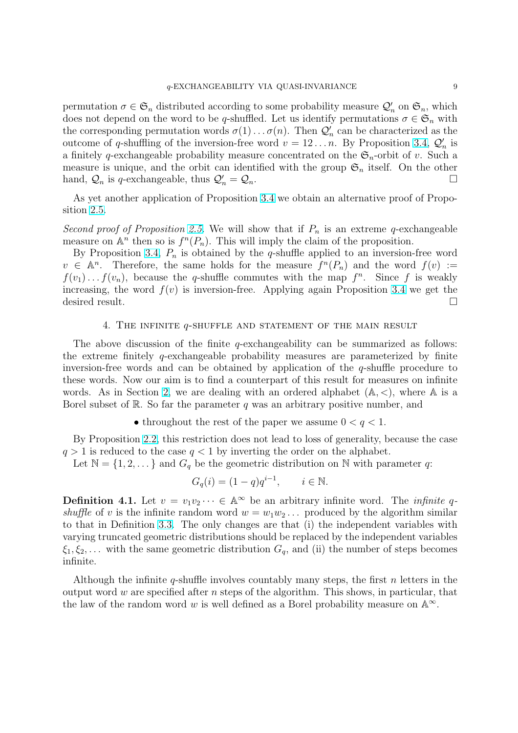<span id="page-8-0"></span>permutation  $\sigma \in \mathfrak{S}_n$  distributed according to some probability measure  $\mathcal{Q}'_n$  on  $\mathfrak{S}_n$ , which does not depend on the word to be q-shuffled. Let us identify permutations  $\sigma \in \mathfrak{S}_n$  with the corresponding permutation words  $\sigma(1) \ldots \sigma(n)$ . Then  $\mathcal{Q}'_n$  can be characterized as the outcome of q-shuffling of the inversion-free word  $v = 12...n$ . By Proposition 3.4,  $\mathcal{Q}'_n$  is a finitely q-exchangeable probability measure concentrated on the  $\mathfrak{S}_n$ -orbit of v. Such a measure is unique, and the orbit can identified with the group  $\mathfrak{S}_n$  itself. On the other hand,  $\mathcal{Q}_n$  is q-exchangeable, thus  $\mathcal{Q}'_n = \mathcal{Q}_n$ .

As yet another application of Proposition 3.4 we obtain an alternative proof of Proposition 2.5.

Second proof of Proposition 2.5. We will show that if  $P_n$  is an extreme q-exchangeable measure on  $\mathbb{A}^n$  then so is  $f^n(P_n)$ . This will [imp](#page-6-0)ly the claim of the proposition.

By [Pro](#page-4-0)position 3.4,  $P_n$  is obtained by the q-shuffle applied to an inversion-free word  $v \in \mathbb{A}^n$ . Therefore, the s[ame](#page-4-0) holds for the measure  $f^n(P_n)$  and the word  $f(v) :=$  $f(v_1) \dots f(v_n)$ , because the q-shuffle commutes with the map  $f^n$ . Since f is weakly increasing, the w[ord](#page-6-0)  $f(v)$  is inversion-free. Applying again Proposition 3.4 we get the desired result.  $\Box$ 

#### 4. THE INFINITE  $q$ -shuffle and statement of the main r[esu](#page-6-0)lt

The above discussion of the finite  $q$ -exchangeability can be summarized as follows: the extreme finitely  $q$ -exchangeable probability measures are parameterized by finite inversion-free words and can be obtained by application of the  $q$ -shuffle procedure to these words. Now our aim is to find a counterpart of this result for measures on infinite words. As in Section 2, we are dealing with an ordered alphabet  $(A, \leq)$ , where A is a Borel subset of R. So far the parameter q was an arbitrary positive number, and

• throughout the rest of the paper we assume  $0 < q < 1$ .

By Proposition 2.2, [th](#page-2-0)is restriction does not lead to loss of generality, because the case  $q > 1$  is reduced to the case  $q < 1$  by inverting the order on the alphabet.

Let  $\mathbb{N} = \{1, 2, \dots\}$  and  $G_q$  be the geometric distribution on N with parameter q:

$$
G_q(i) = (1-q)q^{i-1}, \qquad i \in \mathbb{N}.
$$

**Definition 4.1.** Let  $v = v_1v_2 \cdots \in \mathbb{A}^\infty$  be an arbitrary infinite word. The *infinite q*shuffle of v is the infinite random word  $w = w_1w_2...$  produced by the algorithm similar to that in Definition 3.3. The only changes are that (i) the independent variables with varying truncated geometric distributions should be replaced by the independent variables  $\xi_1, \xi_2, \ldots$  with the same geometric distribution  $G_q$ , and (ii) the number of steps becomes infinite.

Although the infinite q-shuffle involves countably many steps, the first  $n$  letters in the output word w are specified after n steps of the algorithm. This shows, in particular, that the law of the random word w is well defined as a Borel probability measure on  $\mathbb{A}^{\infty}$ .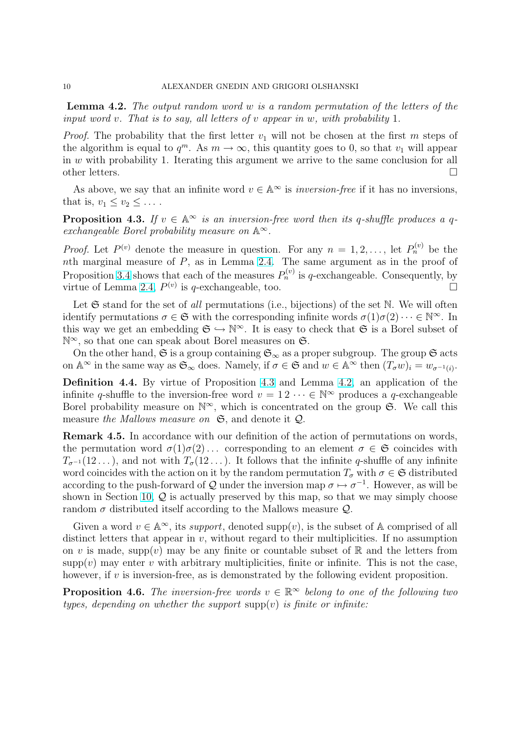<span id="page-9-0"></span>Lemma 4.2. The output random word w is a random permutation of the letters of the input word v. That is to say, all letters of v appear in w, with probability 1.

*Proof.* The probability that the first letter  $v_1$  will not be chosen at the first m steps of the algorithm is equal to  $q^m$ . As  $m \to \infty$ , this quantity goes to 0, so that  $v_1$  will appear in  $w$  with probability 1. Iterating this argument we arrive to the same conclusion for all other letters.  $\Box$ 

As above, we say that an infinite word  $v \in \mathbb{A}^{\infty}$  is *inversion-free* if it has no inversions, that is,  $v_1 < v_2 < \ldots$ .

**Proposition 4.3.** If  $v \in \mathbb{A}^{\infty}$  is an inversion-free word then its q-shuffle produces a qexchangeable Borel probability measure on  $\mathbb{A}^{\infty}$ .

*Proof.* Let  $P^{(v)}$  denote the measure in question. For any  $n = 1, 2, \ldots$ , let  $P_n^{(v)}$  be the nth marginal measure of  $P$ , as in Lemma 2.4. The same argument as in the proof of Proposition 3.4 shows that each of the measures  $P_n^{(v)}$  is q-exchangeable. Consequently, by virtue of Lemma 2.4,  $P^{(v)}$  is q-exchangeable, too.

Let  $\mathfrak S$  stand for the set of all permutatio[ns \(i](#page-4-0).e., bijections) of the set N. We will often identify per[mut](#page-6-0)ations  $\sigma \in \mathfrak{S}$  with the corresponding infinite words  $\sigma(1)\sigma(2)\cdots \in \mathbb{N}^{\infty}$ . In this way we get [an e](#page-4-0)mbedding  $\mathfrak{S} \hookrightarrow \mathbb{N}^{\infty}$ . It is easy to check that  $\mathfrak{S}$  is a Borel subset of N<sup>∞</sup>, so that one can speak about Borel measures on **G**.

On the other hand, G is a group containing  $\mathfrak{S}_{\infty}$  as a proper subgroup. The group G acts on  $\mathbb{A}^{\infty}$  in the same way as  $\mathfrak{S}_{\infty}$  does. Namely, if  $\sigma \in \mathfrak{S}$  and  $w \in \mathbb{A}^{\infty}$  then  $(T_{\sigma}w)_{i} = w_{\sigma^{-1}(i)}$ .

Definition 4.4. By virtue of Proposition 4.3 and Lemma 4.2, an application of the infinite q-shuffle to the inversion-free word  $v = 12 \cdots \in \mathbb{N}^{\infty}$  produces a q-exchangeable Borel probability measure on  $\mathbb{N}^{\infty}$ , which is concentrated on the group  $\mathfrak{S}$ . We call this measure the Mallows measure on  $\mathfrak{S}$ , and denote it  $\mathcal{Q}$ .

Remark 4.5. In accordance with our definition of the action of permutations on words, the permutation word  $\sigma(1)\sigma(2)$ ... corresponding to an element  $\sigma \in \mathfrak{S}$  coincides with  $T_{\sigma^{-1}}(12\ldots)$ , and not with  $T_{\sigma}(12\ldots)$ . It follows that the infinite q-shuffle of any infinite word coincides with the action on it by the random permutation  $T_{\sigma}$  with  $\sigma \in \mathfrak{S}$  distributed according to the push-forward of Q under the inversion map  $\sigma \mapsto \sigma^{-1}$ . However, as will be shown in Section 10,  $Q$  is actually preserved by this map, so that we may simply choose random  $\sigma$  distributed itself according to the Mallows measure  $\mathcal{Q}$ .

Given a word  $v \in \mathbb{A}^{\infty}$ , its support, denoted supp $(v)$ , is the subset of A comprised of all distinct letters t[hat](#page-24-0) appear in  $v$ , without regard to their multiplicities. If no assumption on v is made, supp(v) may be any finite or countable subset of R and the letters from  $supp(v)$  may enter v with arbitrary multiplicities, finite or infinite. This is not the case, however, if  $v$  is inversion-free, as is demonstrated by the following evident proposition.

**Proposition 4.6.** The inversion-free words  $v \in \mathbb{R}^{\infty}$  belong to one of the following two types, depending on whether the support  $supp(v)$  is finite or infinite: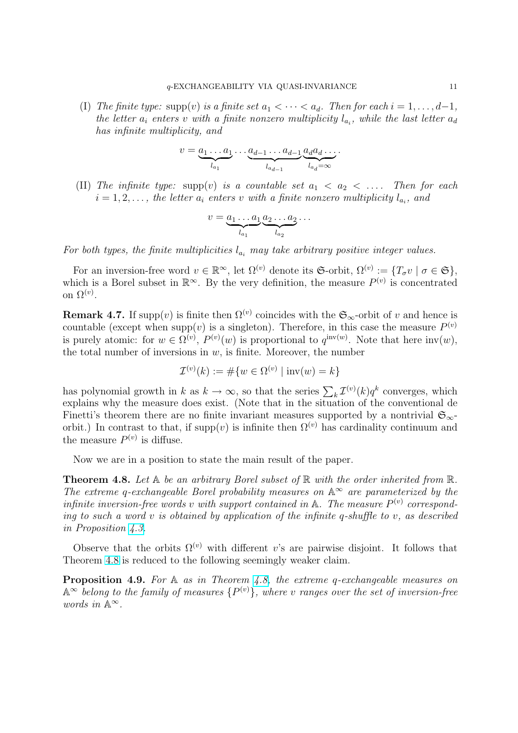<span id="page-10-0"></span>(I) The finite type: supp(v) is a finite set  $a_1 < \cdots < a_d$ . Then for each  $i = 1, \ldots, d-1$ , the letter  $a_i$  enters v with a finite nonzero multiplicity  $l_{a_i}$ , while the last letter  $a_d$ has infinite multiplicity, and

$$
v = \underbrace{a_1 \dots a_1}_{l_{a_1}} \dots \underbrace{a_{d-1} \dots a_{d-1}}_{l_{a_{d-1}}} \underbrace{a_d a_d \dots}_{l_{a_d} = \infty}.
$$

(II) The infinite type: supp(v) is a countable set  $a_1 < a_2 < \ldots$ . Then for each  $i = 1, 2, \ldots$ , the letter  $a_i$  enters v with a finite nonzero multiplicity  $l_{a_i}$ , and

$$
v = \underbrace{a_1 \dots a_1}_{l_{a_1}} \underbrace{a_2 \dots a_2}_{l_{a_2}} \dots
$$

For both types, the finite multiplicities  $l_{a_i}$  may take arbitrary positive integer values.

For an inversion-free word  $v \in \mathbb{R}^{\infty}$ , let  $\Omega^{(v)}$  denote its G-orbit,  $\Omega^{(v)} := \{T_{\sigma}v \mid \sigma \in \mathfrak{S}\},\$ which is a Borel subset in  $\mathbb{R}^{\infty}$ . By the very definition, the measure  $P^{(v)}$  is concentrated on  $\Omega^{(v)}$ .

**Remark 4.7.** If supp $(v)$  is finite then  $\Omega^{(v)}$  coincides with the  $\mathfrak{S}_{\infty}$ -orbit of v and hence is countable (except when supp(v) is a singleton). Therefore, in this case the measure  $P^{(v)}$ is purely atomic: for  $w \in \Omega^{(v)}, P^{(v)}(w)$  is proportional to  $q^{\text{inv}(w)}$ . Note that here  $\text{inv}(w)$ , the total number of inversions in  $w$ , is finite. Moreover, the number

$$
\mathcal{I}^{(v)}(k) := \# \{ w \in \Omega^{(v)} \mid \text{inv}(w) = k \}
$$

has polynomial growth in k as  $k \to \infty$ , so that the series  $\sum_k \mathcal{I}^{(v)}(k)q^k$  converges, which explains why the measure does exist. (Note that in the situation of the conventional de Finetti's theorem there are no finite invariant measures supported by a nontrivial  $\mathfrak{S}_{\infty}$ orbit.) In contrast to that, if  $\text{supp}(v)$  is infinite then  $\Omega^{(v)}$  has cardinality continuum and the measure  $P^{(v)}$  is diffuse.

Now we are in a position to state the main result of the paper.

**Theorem 4.8.** Let  $A$  be an arbitrary Borel subset of  $\mathbb{R}$  with the order inherited from  $\mathbb{R}$ . The extreme q-exchangeable Borel probability measures on  $\mathbb{A}^{\infty}$  are parameterized by the infinite inversion-free words v with support contained in  $\mathbb{A}$ . The measure  $P^{(v)}$  corresponding to such a word v is obtained by application of the infinite q-shuffle to v, as described in Proposition 4.3.

Observe that the orbits  $\Omega^{(v)}$  with different v's are pairwise disjoint. It follows that Theorem 4.8 is reduced to the following seemingly weaker claim.

**Proposition [4.9.](#page-9-0)** For  $\mathbb A$  as in Theorem 4.8, the extreme q-exchangeable measures on  $\mathbb{A}^{\infty}$  belong to the family of measures  $\{P^{(v)}\}$ , where v ranges over the set of inversion-free words in  $\mathbb{A}^{\infty}$ .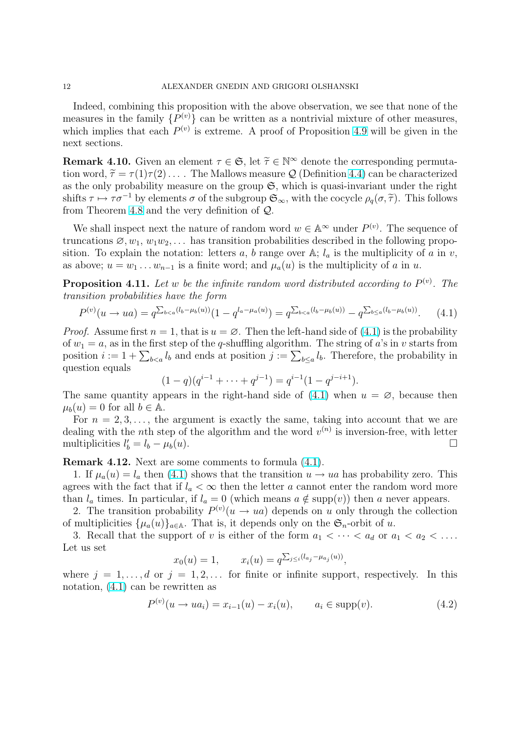<span id="page-11-0"></span>Indeed, combining this proposition with the above observation, we see that none of the measures in the family  $\{P^{(v)}\}$  can be written as a nontrivial mixture of other measures, which implies that each  $P^{(v)}$  is extreme. A proof of Proposition 4.9 will be given in the next sections.

**Remark 4.10.** Given an element  $\tau \in \mathfrak{S}$ , let  $\tilde{\tau} \in \mathbb{N}^{\infty}$  denote the corresponding permutation word,  $\tilde{\tau} = \tau(1)\tau(2) \ldots$ . The Mallows measure Q (Definition [4.4\)](#page-10-0) can be characterized as the only probability measure on the group  $\mathfrak{S}$ , which is quasi-invariant under the right shifts  $\tau \mapsto \tau \sigma^{-1}$  by elements  $\sigma$  of the subgroup  $\mathfrak{S}_{\infty}$ , with the cocycle  $\rho_q(\sigma, \tilde{\tau})$ . This follows from Theorem 4.8 and the very definition of Q.

We shall inspect next the nature of random word  $w \in \mathbb{A}^{\infty}$  under  $P^{(v)}$ . The sequence of truncations  $\emptyset, w_1, w_1w_2, \ldots$  has transition probabilities described in the following proposition. To expl[ain](#page-10-0) the notation: letters a, b range over A;  $l_a$  is the multiplicity of a in v, as above;  $u = w_1 \dots w_{n-1}$  is a finite word; and  $\mu_a(u)$  is the multiplicity of a in u.

**Proposition 4.11.** Let w be the infinite random word distributed according to  $P^{(v)}$ . The transition probabilities have the form

$$
P^{(v)}(u \to ua) = q^{\sum_{b < a}(l_b - \mu_b(u))}(1 - q^{l_a - \mu_a(u)}) = q^{\sum_{b < a}(l_b - \mu_b(u))} - q^{\sum_{b \le a}(l_b - \mu_b(u))}.\tag{4.1}
$$

*Proof.* Assume first  $n = 1$ , that is  $u = \emptyset$ . Then the left-hand side of (4.1) is the probability of  $w_1 = a$ , as in the first step of the q-shuffling algorithm. The string of a's in v starts from or  $w_1 = a$ , as in the first step of the q-shuming algorithm. The string of a s in v starts from<br>position  $i := 1 + \sum_{b < a} l_b$  and ends at position  $j := \sum_{b \le a} l_b$ . Therefore, the probability in question equals

$$
(1-q)(q^{i-1} + \dots + q^{j-1}) = q^{i-1}(1-q^{j-i+1}).
$$

The same quantity appears in the right-hand side of  $(4.1)$  when  $u = \emptyset$ , because then  $\mu_b(u) = 0$  for all  $b \in \mathbb{A}$ .

For  $n = 2, 3, \ldots$ , the argument is exactly the same, taking into account that we are dealing with the *n*th step of the algorithm and the word  $v^{(n)}$  is inversion-free, with letter multiplicities  $l'_b = l_b - \mu_b(u)$ .

Remark 4.12. Next are some comments to formula (4.1).

1. If  $\mu_a(u) = l_a$  then (4.1) shows that the transition  $u \to ua$  has probability zero. This agrees with the fact that if  $l_a < \infty$  then the letter a cannot enter the random word more than  $l_a$  times. In particular, if  $l_a = 0$  (which means  $a \notin \text{supp}(v)$ ) then a never appears.

2. The transition probability  $P^{(v)}(u \to ua)$  depends on u only through the collection of multiplicities  $\{\mu_a(u)\}_{a\in\mathbb{A}}$ . That is, it depends only on the  $\mathfrak{S}_n$ -orbit of u.

3. Recall that the support of v is either of the form  $a_1 < \cdots < a_d$  or  $a_1 < a_2 < \ldots$ . Let us set  $\overline{ }$ 

$$
x_0(u) = 1,
$$
  $x_i(u) = q^{\sum_{j \leq i} (l_{a_j} - \mu_{a_j}(u))},$ 

where  $j = 1, \ldots, d$  or  $j = 1, 2, \ldots$  for finite or infinite support, respectively. In this notation, (4.1) can be rewritten as

$$
P^{(v)}(u \to ua_i) = x_{i-1}(u) - x_i(u), \qquad a_i \in \text{supp}(v). \tag{4.2}
$$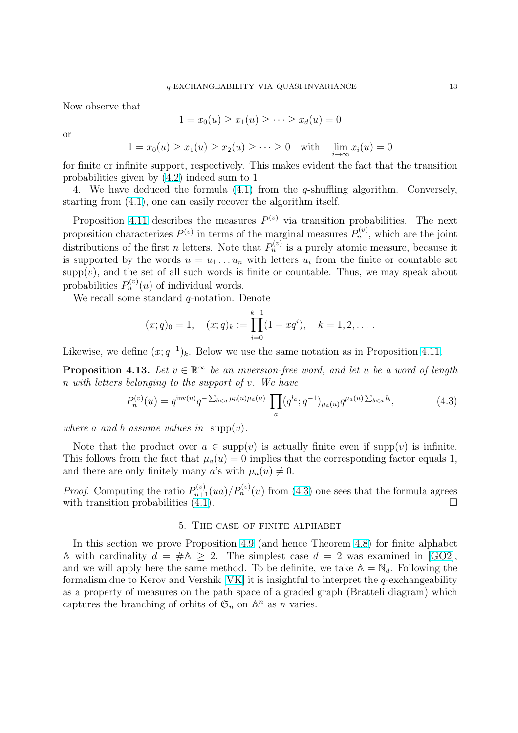<span id="page-12-0"></span>Now observe that

$$
1 = x_0(u) \ge x_1(u) \ge \cdots \ge x_d(u) = 0
$$

or

$$
1 = x_0(u) \ge x_1(u) \ge x_2(u) \ge \dots \ge 0 \quad \text{with} \quad \lim_{i \to \infty} x_i(u) = 0
$$

for finite or infinite support, respectively. This makes evident the fact that the transition probabilities given by (4.2) indeed sum to 1.

4. We have deduced the formula (4.1) from the q-shuffling algorithm. Conversely, starting from (4.1), one can easily recover the algorithm itself.

Proposition 4.11 de[scrib](#page-11-0)es the measures  $P^{(v)}$  via transition probabilities. The next proposition characterizes  $P^{(v)}$  in terms [of t](#page-11-0)he marginal measures  $P_n^{(v)}$ , which are the joint distributions o[f th](#page-11-0)e first *n* letters. Note that  $P_n^{(v)}$  is a purely atomic measure, because it is supported b[y the](#page-11-0) words  $u = u_1 \ldots u_n$  with letters  $u_i$  from the finite or countable set  $supp(v)$ , and the set of all such words is finite or countable. Thus, we may speak about probabilities  $P_n^{(v)}(u)$  of individual words.

We recall some standard  $q$ -notation. Denote

$$
(x;q)_0 = 1
$$
,  $(x;q)_k := \prod_{i=0}^{k-1} (1-xq^i)$ ,  $k = 1,2,...$ 

Likewise, we define  $(x; q^{-1})_k$ . Below we use the same notation as in Proposition 4.11.

**Proposition 4.13.** Let  $v \in \mathbb{R}^{\infty}$  be an inversion-free word, and let u be a word of length n with letters belonging to the support of v. We have

$$
P_n^{(v)}(u) = q^{\text{inv}(u)} q^{-\sum_{b < a} \mu_b(u)\mu_a(u)} \prod_a (q^{l_a}; q^{-1})_{\mu_a(u)} q^{\mu_a(u)\sum_{b < a} l_b},\tag{4.3}
$$

where a and b assume values in supp $(v)$ .

Note that the product over  $a \in \text{supp}(v)$  is actually finite even if supp $(v)$  is infinite. This follows from the fact that  $\mu_a(u) = 0$  implies that the corresponding factor equals 1, and there are only finitely many a's with  $\mu_a(u) \neq 0$ .

*Proof.* Computing the ratio  $P_{n+1}^{(v)}(ua)/P_n^{(v)}(u)$  from (4.3) one sees that the formula agrees with transition probabilities  $(4.1)$ .

#### 5. The case of finite alphabet

In this section we prove P[ropo](#page-11-0)sition 4.9 (and hence Theorem 4.8) for finite alphabet A with cardinality  $d = #A \geq 2$ . The simplest case  $d = 2$  was examined in [GO2], and we will apply here the same method. To be definite, we take  $\mathbb{A} = \mathbb{N}_d$ . Following the formalism due to Kerov and Vershik [VK] it is insightful to interpret the q-exchangeability as a property of measures on the path [spac](#page-10-0)e of a graded graph ([Brat](#page-10-0)teli diagram) [which](#page-29-0) captures the branching of orbits of  $\mathfrak{S}_n$  on  $\mathbb{A}^n$  as n varies.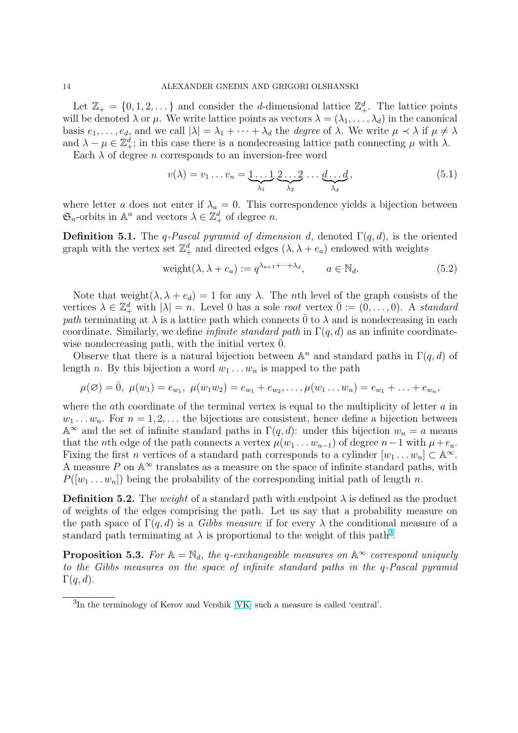<span id="page-13-0"></span>Let  $\mathbb{Z}_+ = \{0, 1, 2, \dots\}$  and consider the *d*-dimensional lattice  $\mathbb{Z}_+^d$ . The lattice points will be denoted  $\lambda$  or  $\mu$ . We write lattice points as vectors  $\lambda = (\lambda_1, \dots, \lambda_d)$  in the canonical basis  $e_1, \ldots, e_d$ , and we call  $|\lambda| = \lambda_1 + \cdots + \lambda_d$  the *degree* of  $\lambda$ . We write  $\mu \prec \lambda$  if  $\mu \neq \lambda$ and  $\lambda - \mu \in \mathbb{Z}_+^d$ ; in this case there is a nondecreasing lattice path connecting  $\mu$  with  $\lambda$ .

Each  $\lambda$  of degree *n* corresponds to an inversion-free word

$$
v(\lambda) = v_1 \dots v_n = \underbrace{1 \dots 1}_{\lambda_1} \underbrace{2 \dots 2}_{\lambda_2} \dots \underbrace{d \dots d}_{\lambda_d}, \qquad (5.1)
$$

where letter a does not enter if  $\lambda_a = 0$ . This correspondence yields a bijection between  $\mathfrak{S}_n$ -orbits in  $\mathbb{A}^n$  and vectors  $\lambda \in \mathbb{Z}_+^d$  of degree n.

**Definition 5.1.** The q-Pascal pyramid of dimension d, denoted  $\Gamma(q, d)$ , is the oriented graph with the vertex set  $\mathbb{Z}_+^d$  and directed edges  $(\lambda, \lambda + e_a)$  endowed with weights

$$
weight(\lambda, \lambda + e_a) := q^{\lambda_{a+1} + \dots + \lambda_d}, \qquad a \in \mathbb{N}_d.
$$
\n
$$
(5.2)
$$

Note that weight $(\lambda, \lambda + e_d) = 1$  for any  $\lambda$ . The *n*th level of the graph consists of the vertices  $\lambda \in \mathbb{Z}_+^d$  with  $|\lambda| = n$ . Level 0 has a sole root vertex  $\overline{0} := (0, \ldots, 0)$ . A standard path terminating at  $\lambda$  is a lattice path which connects 0 to  $\lambda$  and is nondecreasing in each coordinate. Similarly, we define *infinite standard path* in  $\Gamma(q, d)$  as an infinite coordinatewise nondecreasing path, with the initial vertex  $\overline{0}$ .

Observe that there is a natural bijection between  $\mathbb{A}^n$  and standard paths in  $\Gamma(q, d)$  of length n. By this bijection a word  $w_1 \ldots w_n$  is mapped to the path

$$
\mu(\varnothing) = \overline{0}, \ \mu(w_1) = e_{w_1}, \ \mu(w_1w_2) = e_{w_1} + e_{w_2}, \dots, \mu(w_1 \dots w_n) = e_{w_1} + \dots + e_{w_n},
$$

where the ath coordinate of the terminal vertex is equal to the multiplicity of letter  $a$  in  $w_1 \ldots w_n$ . For  $n = 1, 2, \ldots$  the bijections are consistent, hence define a bijection between  $\mathbb{A}^{\infty}$  and the set of infinite standard paths in  $\Gamma(q, d)$ : under this bijection  $w_n = a$  means that the *n*th edge of the path connects a vertex  $\mu(w_1 \dots w_{n-1})$  of degree  $n-1$  with  $\mu + e_a$ . Fixing the first *n* vertices of a standard path corresponds to a cylinder  $[w_1 \dots w_n] \subset \mathbb{A}^{\infty}$ . A measure P on  $\mathbb{A}^{\infty}$  translates as a measure on the space of infinite standard paths, with  $P([w_1 \dots w_n])$  being the probability of the corresponding initial path of length n.

**Definition 5.2.** The weight of a standard path with endpoint  $\lambda$  is defined as the product of weights of the edges comprising the path. Let us say that a probability measure on the path space of  $\Gamma(q, d)$  is a *Gibbs measure* if for every  $\lambda$  the conditional measure of a standard path terminating at  $\lambda$  is proportional to the weight of this path<sup>3</sup>.

**Proposition 5.3.** For  $A = \mathbb{N}_d$ , the q-exchangeable measures on  $A^{\infty}$  correspond uniquely to the Gibbs measures on the space of infinite standard paths in the q-Pascal pyramid  $\Gamma(q, d)$ .

<sup>3</sup> In the terminology of Kerov and Vershik [VK] such a measure is called 'central'.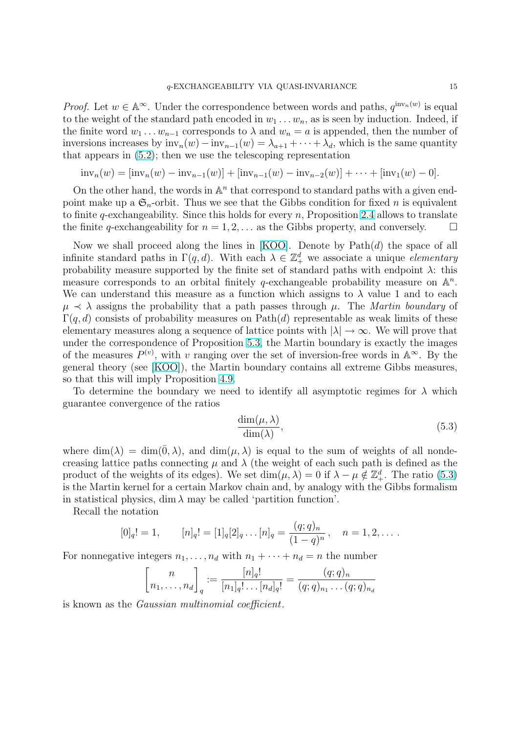*Proof.* Let  $w \in \mathbb{A}^{\infty}$ . Under the correspondence between words and paths,  $q^{\text{inv}_n(w)}$  is equal to the weight of the standard path encoded in  $w_1 \ldots w_n$ , as is seen by induction. Indeed, if the finite word  $w_1 \ldots w_{n-1}$  corresponds to  $\lambda$  and  $w_n = a$  is appended, then the number of inversions increases by  $inv_n(w) - inv_{n-1}(w) = \lambda_{a+1} + \cdots + \lambda_d$ , which is the same quantity that appears in (5.2); then we use the telescoping representation

$$
\text{inv}_n(w) = [\text{inv}_n(w) - \text{inv}_{n-1}(w)] + [\text{inv}_{n-1}(w) - \text{inv}_{n-2}(w)] + \cdots + [\text{inv}_1(w) - 0].
$$

On the other hand, the words in  $\mathbb{A}^n$  that correspond to standard paths with a given endpoint make up a  $\mathfrak{S}_n$  $\mathfrak{S}_n$  $\mathfrak{S}_n$ -orbit. Thus we see that the Gibbs condition for fixed n is equivalent to finite q-exchangeability. Since this holds for every n, Proposition 2.4 allows to translate the finite q-exchangeability for  $n = 1, 2, \ldots$  as the Gibbs property, and conversely.  $\Box$ 

Now we shall proceed along the lines in  $[KOO]$ . Denote by  $Path(d)$  the space of all infinite standard paths in  $\Gamma(q, d)$ . With each  $\lambda \in \mathbb{Z}_+^d$  w[e a](#page-4-0)ssociate a unique *elementary* probability measure supported by the finite set of standard paths with endpoint  $\lambda$ : this measure corresponds to an orbital finitely q-exchangeable probability measure on  $\mathbb{A}^n$ . We can understand this measure as a func[tion w](#page-29-0)hich assigns to  $\lambda$  value 1 and to each  $\mu \prec \lambda$  assigns the probability that a path passes through  $\mu$ . The Martin boundary of  $\Gamma(q, d)$  consists of probability measures on Path(d) representable as weak limits of these elementary measures along a sequence of lattice points with  $|\lambda| \to \infty$ . We will prove that under the correspondence of Proposition 5.3, the Martin boundary is exactly the images of the measures  $P^{(v)}$ , with v ranging over the set of inversion-free words in  $\mathbb{A}^{\infty}$ . By the general theory (see [KOO]), the Martin boundary contains all extreme Gibbs measures, so that this will imply Proposition 4.9.

To determine the boundary we need [to i](#page-13-0)dentify all asymptotic regimes for  $\lambda$  which guarantee convergen[ce of t](#page-29-0)he ratios

$$
\frac{\dim(\mu, \lambda)}{\dim(\lambda)},\tag{5.3}
$$

where  $\dim(\lambda) = \dim(\bar{0}, \lambda)$ , and  $\dim(\mu, \lambda)$  is equal to the sum of weights of all nondecreasing lattice paths connecting  $\mu$  and  $\lambda$  (the weight of each such path is defined as the product of the weights of its edges). We set  $\dim(\mu, \lambda) = 0$  if  $\lambda - \mu \notin \mathbb{Z}_+^d$ . The ratio (5.3) is the Martin kernel for a certain Markov chain and, by analogy with the Gibbs formalism in statistical physics, dim  $\lambda$  may be called 'partition function'.

Recall the notation

$$
[0]_q! = 1, \t [n]_q! = [1]_q[2]_q \dots [n]_q = \frac{(q;q)_n}{(1-q)^n}, \t n = 1, 2, \dots.
$$

For nonnegative integers  $n_1, \ldots, n_d$  with  $n_1 + \cdots + n_d = n$  the number

$$
\left[n_1, \ldots, n_d\right]_q := \frac{[n]_q!}{[n_1]_q! \ldots [n_d]_q!} = \frac{(q;q)_n}{(q;q)_{n_1} \ldots (q;q)_{n_d}}
$$

is known as the Gaussian multinomial coefficient.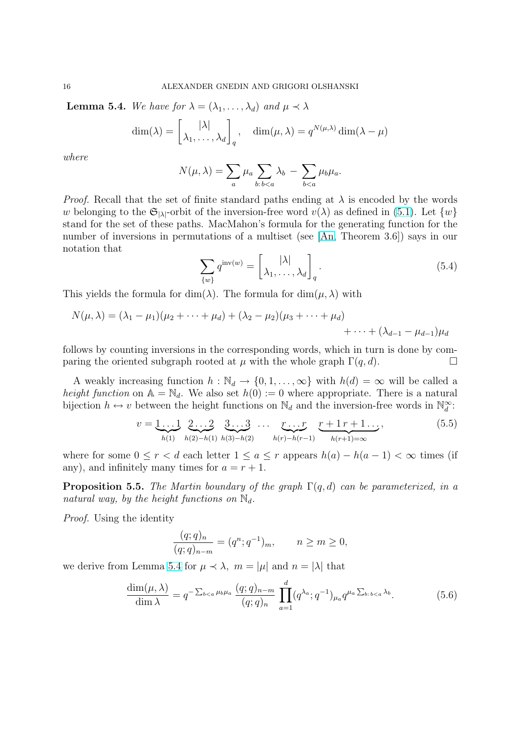<span id="page-15-0"></span>**Lemma 5.4.** We have for  $\lambda = (\lambda_1, \ldots, \lambda_d)$  and  $\mu \prec \lambda$ 

$$
\dim(\lambda) = \begin{bmatrix} |\lambda| \\ \lambda_1, \dots, \lambda_d \end{bmatrix}_q, \quad \dim(\mu, \lambda) = q^{N(\mu, \lambda)} \dim(\lambda - \mu)
$$

where

$$
N(\mu,\lambda) = \sum_{a} \mu_a \sum_{b:b
$$

*Proof.* Recall that the set of finite standard paths ending at  $\lambda$  is encoded by the words w belonging to the  $\mathfrak{S}_{|\lambda|}$ -orbit of the inversion-free word  $v(\lambda)$  as defined in (5.1). Let  $\{w\}$ stand for the set of these paths. MacMahon's formula for the generating function for the number of inversions in permutations of a multiset (see [An, Theorem 3.6]) says in our notation that ·  $\overline{a}$ 

$$
\sum_{\{w\}} q^{\text{inv}(w)} = \begin{bmatrix} |\lambda| \\ \lambda_1, \dots, \lambda_d \end{bmatrix}_q.
$$
\n(5.4)

This yields the formula for  $\dim(\lambda)$ . The formula for  $\dim(\mu, \lambda)$  with

$$
N(\mu, \lambda) = (\lambda_1 - \mu_1)(\mu_2 + \dots + \mu_d) + (\lambda_2 - \mu_2)(\mu_3 + \dots + \mu_d) + \dots + (\lambda_{d-1} - \mu_{d-1})\mu_d
$$

follows by counting inversions in the corresponding words, which in turn is done by comparing the oriented subgraph rooted at  $\mu$  with the whole graph  $\Gamma(q, d)$ .

A weakly increasing function  $h : \mathbb{N}_d \to \{0, 1, \ldots, \infty\}$  with  $h(d) = \infty$  will be called a height function on  $\mathbb{A} = \mathbb{N}_d$ . We also set  $h(0) := 0$  where appropriate. There is a natural bijection  $h \leftrightarrow v$  between the height functions on  $\mathbb{N}_d$  and the inversion-free words in  $\mathbb{N}_d^{\infty}$ :

$$
v = \underbrace{1 \dots 1}_{h(1)} \underbrace{2 \dots 2}_{h(2)-h(1)} \underbrace{3 \dots 3}_{h(3)-h(2)} \dots \underbrace{r \dots r}_{h(r)-h(r-1)} \underbrace{r+1 \, r+1 \dots}_{h(r+1)=\infty},
$$
(5.5)

where for some  $0 \leq r < d$  each letter  $1 \leq a \leq r$  appears  $h(a) - h(a-1) < \infty$  times (if any), and infinitely many times for  $a = r + 1$ .

**Proposition 5.5.** The Martin boundary of the graph  $\Gamma(q, d)$  can be parameterized, in a natural way, by the height functions on  $\mathbb{N}_d$ .

Proof. Using the identity

$$
\frac{(q;q)_n}{(q;q)_{n-m}} = (q^n;q^{-1})_m, \qquad n \ge m \ge 0,
$$

we derive from Lemma 5.4 for  $\mu \prec \lambda$ ,  $m = |\mu|$  and  $n = |\lambda|$  that

$$
\frac{\dim(\mu,\lambda)}{\dim\lambda} = q^{-\sum_{b\n(5.6)
$$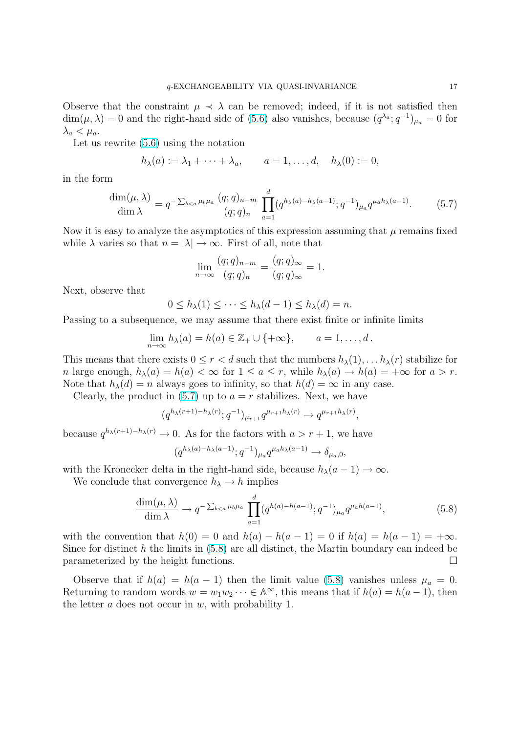Observe that the constraint  $\mu \prec \lambda$  can be removed; indeed, if it is not satisfied then  $\dim(\mu, \lambda) = 0$  and the right-hand side of (5.6) also vanishes, because  $(q^{\lambda_a}; q^{-1})_{\mu_a} = 0$  for  $\lambda_a < \mu_a$ .

Let us rewrite (5.6) using the notation

$$
h_{\lambda}(a) := \lambda_1 + \cdots + \lambda_a, \qquad a = 1, \ldots, d, \quad h_{\lambda}(0) := 0,
$$

in the form

$$
\frac{\dim(\mu,\lambda)}{\dim\lambda} = q^{-\sum_{b(5.7)
$$

Now it is easy to analyze the asymptotics of this expression assuming that  $\mu$  remains fixed while  $\lambda$  varies so that  $n = |\lambda| \to \infty$ . First of all, note that

$$
\lim_{n \to \infty} \frac{(q;q)_{n-m}}{(q;q)_n} = \frac{(q;q)_{\infty}}{(q;q)_{\infty}} = 1.
$$

Next, observe that

$$
0 \le h_{\lambda}(1) \le \cdots \le h_{\lambda}(d-1) \le h_{\lambda}(d) = n.
$$

Passing to a subsequence, we may assume that there exist finite or infinite limits

$$
\lim_{n \to \infty} h_{\lambda}(a) = h(a) \in \mathbb{Z}_+ \cup \{+\infty\}, \qquad a = 1, \dots, d.
$$

This means that there exists  $0 \le r < d$  such that the numbers  $h_{\lambda}(1), \ldots, h_{\lambda}(r)$  stabilize for n large enough,  $h_{\lambda}(a) = h(a) < \infty$  for  $1 \le a \le r$ , while  $h_{\lambda}(a) \to h(a) = +\infty$  for  $a > r$ . Note that  $h_{\lambda}(d) = n$  always goes to infinity, so that  $h(d) = \infty$  in any case.

Clearly, the product in  $(5.7)$  up to  $a = r$  stabilizes. Next, we have

$$
(q^{h_{\lambda}(r+1)-h_{\lambda}(r)};q^{-1})_{\mu_{r+1}}q^{\mu_{r+1}h_{\lambda}(r)} \longrightarrow q^{\mu_{r+1}h_{\lambda}(r)},
$$

because  $q^{h_{\lambda}(r+1)-h_{\lambda}(r)} \to 0$ . As for the factors with  $a > r+1$ , we have

$$
(q^{h_{\lambda}(a)-h_{\lambda}(a-1)}; q^{-1})_{\mu_a} q^{\mu_a h_{\lambda}(a-1)} \longrightarrow \delta_{\mu_a,0},
$$

with the Kronecker delta in the right-hand side, because  $h_{\lambda}(a-1) \rightarrow \infty$ .

We conclude that convergence  $h_{\lambda} \to h$  implies

$$
\frac{\dim(\mu,\lambda)}{\dim\lambda} \to q^{-\sum_{b\n(5.8)
$$

with the convention that  $h(0) = 0$  and  $h(a) - h(a-1) = 0$  if  $h(a) = h(a-1) = +\infty$ . Since for distinct h the limits in  $(5.8)$  are all distinct, the Martin boundary can indeed be parameterized by the height functions.  $\Box$ 

Observe that if  $h(a) = h(a-1)$  then the limit value (5.8) vanishes unless  $\mu_a = 0$ . Returning to random words  $w = w_1w_2 \cdots \in \mathbb{A}^{\infty}$ , this means that if  $h(a) = h(a-1)$ , then the letter  $a$  does not occur in  $w$ , with probability 1.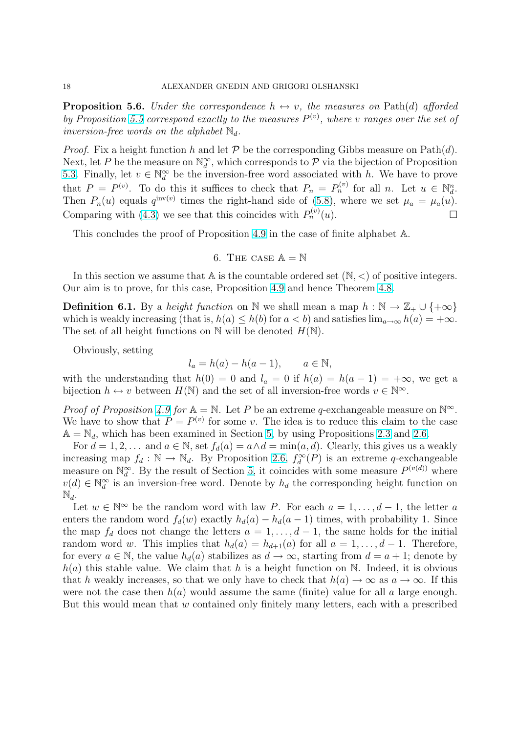<span id="page-17-0"></span>**Proposition 5.6.** Under the correspondence  $h \leftrightarrow v$ , the measures on Path(d) afforded by Proposition 5.5 correspond exactly to the measures  $P^{(v)}$ , where v ranges over the set of inversion-free words on the alphabet  $\mathbb{N}_d$ .

*Proof.* Fix a height function h and let  $P$  be the corresponding Gibbs measure on Path(d). Next, let P be [the](#page-15-0) measure on  $\mathbb{N}_d^{\infty}$ , which corresponds to P via the bijection of Proposition 5.3. Finally, let  $v \in \mathbb{N}_d^{\infty}$  be the inversion-free word associated with h. We have to prove that  $P = P^{(v)}$ . To do this it suffices to check that  $P_n = P_n^{(v)}$  for all n. Let  $u \in \mathbb{N}_d^n$ . Then  $P_n(u)$  equals  $q^{\text{inv}(v)}$  times the right-hand side of (5.8), where we set  $\mu_a = \mu_a(u)$ . [Com](#page-13-0)paring with (4.3) we see that this coincides with  $P_n^{(v)}(u)$ .

This concludes the proof of Proposition 4.9 in the case of finite alphabet A.

6. THE CASE 
$$
\mathbb{A} = \mathbb{N}
$$

In this section we assume that  $\mathbb A$  is the c[ount](#page-10-0)able ordered set  $(\mathbb N, <)$  of positive integers. Our aim is to prove, for this case, Proposition 4.9 and hence Theorem 4.8.

**Definition 6.1.** By a *height function* on N we shall mean a map  $h : \mathbb{N} \to \mathbb{Z}_+ \cup \{+\infty\}$ which is weakly increasing (that is,  $h(a) \leq h(b)$  for  $a < b$ ) and satisfies  $\lim_{a\to\infty} h(a) = +\infty$ . The set of all height functions on  $\mathbb N$  will be de[note](#page-10-0)d  $H(\mathbb N)$ .

Obviously, setting

$$
l_a = h(a) - h(a-1), \qquad a \in \mathbb{N},
$$

with the understanding that  $h(0) = 0$  and  $l_a = 0$  if  $h(a) = h(a-1) = +\infty$ , we get a bijection  $h \leftrightarrow v$  between  $H(\mathbb{N})$  and the set of all inversion-free words  $v \in \mathbb{N}^{\infty}$ .

*Proof of Proposition 4.9 for*  $A = N$ . Let P be an extreme q-exchangeable measure on  $N^{\infty}$ . We have to show that  $P = P^{(v)}$  for some v. The idea is to reduce this claim to the case  $A = N_d$ , which has been examined in Section 5, by using Propositions 2.3 and 2.6.

For  $d = 1, 2, \ldots$  and  $a \in \mathbb{N}$ , set  $f_d(a) = a \wedge d = \min(a, d)$ . Clearly, this gives us a weakly increasing map  $f_d : \mathbb{N} \to \mathbb{N}_d$  $f_d : \mathbb{N} \to \mathbb{N}_d$  $f_d : \mathbb{N} \to \mathbb{N}_d$ . By Proposition 2.6,  $f_d^{\infty}(P)$  is an extreme q-exchangeable measure on  $\mathbb{N}_d^{\infty}$ . By the result of Section 5, it coincides with some measure  $P^{(v(d))}$  where  $v(d) \in \mathbb{N}_d^{\infty}$  is an inversion-free word. Denote [by](#page-12-0)  $h_d$  the corresponding [heig](#page-3-0)ht f[unct](#page-5-0)ion on  $\mathbb{N}_d$ .

Let  $w \in \mathbb{N}^{\infty}$  be the random word with law P[. F](#page-5-0)or each  $a = 1, \ldots, d - 1$ , the letter a enters the r[a](#page-12-0)ndom word  $f_d(w)$  exactly  $h_d(a) - h_d(a-1)$  times, with probability 1. Since the map  $f_d$  does not change the letters  $a = 1, \ldots, d-1$ , the same holds for the initial random word w. This implies that  $h_d(a) = h_{d+1}(a)$  for all  $a = 1, ..., d-1$ . Therefore, for every  $a \in \mathbb{N}$ , the value  $h_d(a)$  stabilizes as  $d \to \infty$ , starting from  $d = a + 1$ ; denote by  $h(a)$  this stable value. We claim that h is a height function on N. Indeed, it is obvious that h weakly increases, so that we only have to check that  $h(a) \to \infty$  as  $a \to \infty$ . If this were not the case then  $h(a)$  would assume the same (finite) value for all a large enough. But this would mean that w contained only finitely many letters, each with a prescribed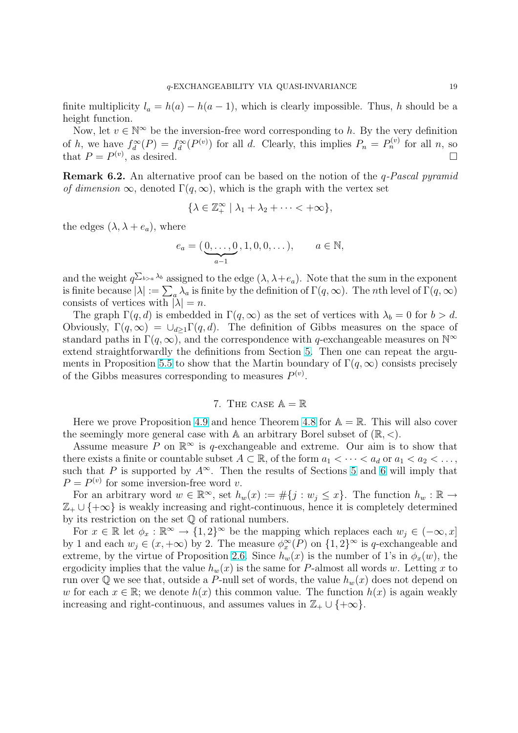<span id="page-18-0"></span>finite multiplicity  $l_a = h(a) - h(a-1)$ , which is clearly impossible. Thus, h should be a height function.

Now, let  $v \in \mathbb{N}^{\infty}$  be the inversion-free word corresponding to h. By the very definition of h, we have  $f_d^{\infty}(P) = f_d^{\infty}(P^{(v)})$  for all d. Clearly, this implies  $P_n = P_n^{(v)}$  for all n, so that  $P = P^{(v)}$ , as desired.

**Remark 6.2.** An alternative proof can be based on the notion of the *q-Pascal pyramid* of dimension  $\infty$ , denoted  $\Gamma(q,\infty)$ , which is the graph with the vertex set

$$
\{\lambda \in \mathbb{Z}_+^{\infty} \mid \lambda_1 + \lambda_2 + \cdots < +\infty\},\
$$

the edges  $(\lambda, \lambda + e_a)$ , where

$$
e_a = (\underbrace{0, \dots, 0}_{a-1}, 1, 0, 0, \dots), \qquad a \in \mathbb{N},
$$

and the weight  $q^{\sum_{b>a} \lambda_b}$  assigned to the edge  $(\lambda, \lambda + e_a)$ . Note that the sum in the exponent and the weight  $q\rightarrow s$  and  $q\rightarrow s$  and the edge  $(\lambda, \lambda + e_a)$ . Note that the sum in the exponent is finite because  $|\lambda| := \sum_a \lambda_a$  is finite by the definition of  $\Gamma(q, \infty)$ . The *n*th level of  $\Gamma(q, \infty)$ consists of vertices with  $|\lambda| = n$ .

The graph  $\Gamma(q, d)$  is embedded in  $\Gamma(q, \infty)$  as the set of vertices with  $\lambda_b = 0$  for  $b > d$ . Obviously,  $\Gamma(q,\infty) = \cup_{d>1} \Gamma(q,d)$ . The definition of Gibbs measures on the space of standard paths in  $\Gamma(q,\infty)$ , and the correspondence with q-exchangeable measures on  $\mathbb{N}^{\infty}$ extend straightforwardly the definitions from Section 5. Then one can repeat the arguments in Proposition 5.5 to show that the Martin boundary of  $\Gamma(q,\infty)$  consists precisely of the Gibbs measures corresponding to measures  $P^{(v)}$ .

## 7. THE CASE  $\mathbb{A} = \mathbb{R}$  $\mathbb{A} = \mathbb{R}$  $\mathbb{A} = \mathbb{R}$

Here we prove Proposition 4.9 and hence Theorem 4.8 for  $A = \mathbb{R}$ . This will also cover the seemingly more general case with A an arbitrary Borel subset of  $(\mathbb{R}, \leq)$ .

Assume measure P on  $\mathbb{R}^{\infty}$  is q-exchangeable and extreme. Our aim is to show that there exists a finite or counta[ble s](#page-10-0)ubset  $A \subset \mathbb{R}$ , of the form  $a_1 < \cdots < a_d$  or  $a_1 < a_2 < \ldots$ , such that P is supported by  $A^{\infty}$ . Then the results [of Se](#page-10-0)ctions 5 and 6 will imply that  $P = P^{(v)}$  for some inversion-free word v.

For an arbitrary word  $w \in \mathbb{R}^{\infty}$ , set  $h_w(x) := \#\{j : w_j \leq x\}$ . The function  $h_w : \mathbb{R} \to$  $\mathbb{Z}_+ \cup \{+\infty\}$  is weakly increasing and right-continuous, hence it i[s c](#page-12-0)om[ple](#page-17-0)tely determined by its restriction on the set Q of rational numbers.

For  $x \in \mathbb{R}$  let  $\phi_x : \mathbb{R}^\infty \to \{1,2\}^\infty$  be the mapping which replaces each  $w_j \in (-\infty, x]$ by 1 and each  $w_j \in (x, +\infty)$  by 2. The measure  $\phi_x^{\infty}(P)$  on  $\{1, 2\}^{\infty}$  is q-exchangeable and extreme, by the virtue of Proposition 2.6. Since  $h_w(x)$  is the number of 1's in  $\phi_x(w)$ , the ergodicity implies that the value  $h_w(x)$  is the same for P-almost all words w. Letting x to run over Q we see that, outside a P-null set of words, the value  $h_w(x)$  does not depend on w for each  $x \in \mathbb{R}$ ; we denote  $h(x)$  this common value. The function  $h(x)$  is again weakly increasing and right-continuous, and [assu](#page-5-0)mes values in  $\mathbb{Z}_+ \cup \{+\infty\}.$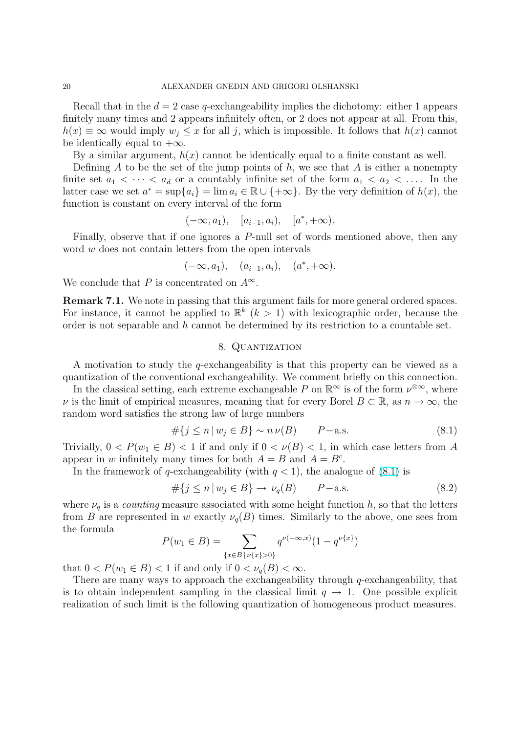<span id="page-19-0"></span>Recall that in the  $d = 2$  case q-exchangeability implies the dichotomy: either 1 appears finitely many times and 2 appears infinitely often, or 2 does not appear at all. From this,  $h(x) \equiv \infty$  would imply  $w_i \leq x$  for all j, which is impossible. It follows that  $h(x)$  cannot be identically equal to  $+\infty$ .

By a similar argument,  $h(x)$  cannot be identically equal to a finite constant as well.

Defining A to be the set of the jump points of  $h$ , we see that A is either a nonempty finite set  $a_1 < \cdots < a_d$  or a countably infinite set of the form  $a_1 < a_2 < \ldots$ . In the latter case we set  $a^* = \sup\{a_i\} = \lim a_i \in \mathbb{R} \cup \{+\infty\}$ . By the very definition of  $h(x)$ , the function is constant on every interval of the form

$$
(-\infty, a_1), \quad [a_{i-1}, a_i), \quad [a^*, +\infty).
$$

Finally, observe that if one ignores a P-null set of words mentioned above, then any word w does not contain letters from the open intervals

$$
(-\infty, a_1), \quad (a_{i-1}, a_i), \quad (a^*, +\infty).
$$

We conclude that P is concentrated on  $A^{\infty}$ .

Remark 7.1. We note in passing that this argument fails for more general ordered spaces. For instance, it cannot be applied to  $\mathbb{R}^k$   $(k > 1)$  with lexicographic order, because the order is not separable and h cannot be determined by its restriction to a countable set.

## 8. Quantization

A motivation to study the q-exchangeability is that this property can be viewed as a quantization of the conventional exchangeability. We comment briefly on this connection.

In the classical setting, each extreme exchangeable P on  $\mathbb{R}^{\infty}$  is of the form  $\nu^{\otimes \infty}$ , where  $\nu$  is the limit of empirical measures, meaning that for every Borel  $B \subset \mathbb{R}$ , as  $n \to \infty$ , the random word satisfies the strong law of large numbers

$$
\#\{j \le n \mid w_j \in B\} \sim n \nu(B) \qquad P-\text{a.s.} \tag{8.1}
$$

Trivially,  $0 < P(w_1 \in B) < 1$  if and only if  $0 < \nu(B) < 1$ , in which case letters from A appear in w infinitely many times for both  $A = B$  and  $A = B<sup>c</sup>$ .

In the framework of q-exchangeability (with  $q < 1$ ), the analogue of (8.1) is

$$
\#\{j \le n \mid w_j \in B\} \to \nu_q(B) \qquad P-\text{a.s.} \tag{8.2}
$$

where  $\nu_q$  is a *counting* measure associated with some height function h, so that the letters from B are represented in w exactly  $\nu_q(B)$  times. Similarly to the above, one sees from the formula

$$
P(w_1 \in B) = \sum_{\{x \in B \mid \nu\{x\} > 0\}} q^{\nu(-\infty, x)} (1 - q^{\nu\{x\}})
$$

that  $0 < P(w_1 \in B) < 1$  if and only if  $0 < \nu_q(B) < \infty$ .

There are many ways to approach the exchangeability through q-exchangeability, that is to obtain independent sampling in the classical limit  $q \to 1$ . One possible explicit realization of such limit is the following quantization of homogeneous product measures.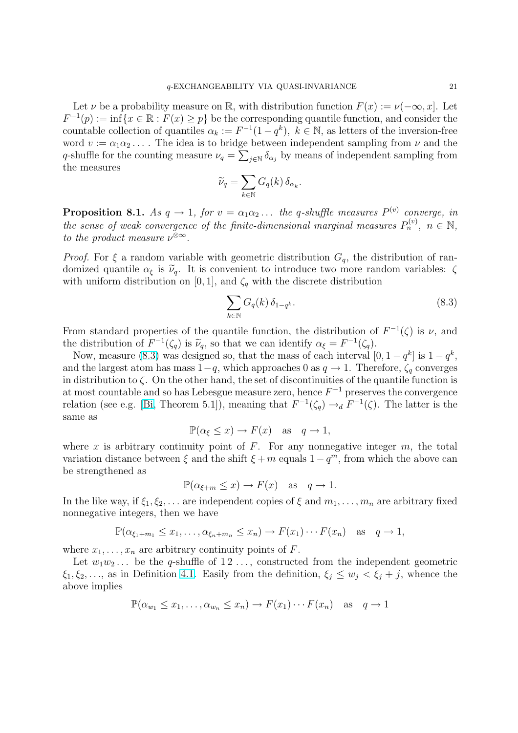Let  $\nu$  be a probability measure on R, with distribution function  $F(x) := \nu(-\infty, x]$ . Let  $F^{-1}(p) := \inf\{x \in \mathbb{R} : F(x) \geq p\}$  be the corresponding quantile function, and consider the countable collection of quantiles  $\alpha_k := F^{-1}(1-q^k)$ ,  $k \in \mathbb{N}$ , as letters of the inversion-free word  $v := \alpha_1 \alpha_2 \ldots$ . The idea is to bridge between independent sampling from  $\nu$  and the q-shuffle for the counting measure  $\nu_q = \sum_{j \in \mathbb{N}} \delta_{\alpha_j}$  by means of independent sampling from the measures  $\overline{\phantom{a}}$ 

$$
\widetilde{\nu}_q = \sum_{k \in \mathbb{N}} G_q(k) \, \delta_{\alpha_k}.
$$

**Proposition 8.1.** As  $q \to 1$ , for  $v = \alpha_1 \alpha_2 \dots$  the q-shuffle measures  $P^{(v)}$  converge, in the sense of weak convergence of the finite-dimensional marginal measures  $P_n^{(v)}$ ,  $n \in \mathbb{N}$ , to the product measure  $\nu^{\otimes \infty}$ .

*Proof.* For  $\xi$  a random variable with geometric distribution  $G_q$ , the distribution of randomized quantile  $\alpha_{\xi}$  is  $\tilde{\nu}_{q}$ . It is convenient to introduce two more random variables:  $\zeta$ with uniform distribution on [0, 1], and  $\zeta_q$  with the discrete distribution

$$
\sum_{k \in \mathbb{N}} G_q(k) \, \delta_{1-q^k}.\tag{8.3}
$$

From standard properties of the quantile function, the distribution of  $F^{-1}(\zeta)$  is  $\nu$ , and the distribution of  $F^{-1}(\zeta_q)$  is  $\widetilde{\nu}_q$ , so that we can identify  $\alpha_{\xi} = F^{-1}(\zeta_q)$ .

Now, measure (8.3) was designed so, that the mass of each interval  $[0, 1 - q^k]$  is  $1 - q^k$ , and the largest atom has mass  $1-q$ , which approaches 0 as  $q \to 1$ . Therefore,  $\zeta_q$  converges in distribution to  $\zeta$ . On the other hand, the set of discontinuities of the quantile function is at most countable and so has Lebesgue measure zero, hence  $F^{-1}$  preserves the convergence relation (see e.g. [Bi, Theorem 5.1]), meaning that  $F^{-1}(\zeta_q) \to_d F^{-1}(\zeta)$ . The latter is the same as

$$
\mathbb{P}(\alpha_{\xi} \le x) \to F(x) \quad \text{as} \quad q \to 1,
$$

where x is arbitr[ary](#page-28-0) continuity point of  $F$ . For any nonnegative integer  $m$ , the total variation distance between  $\xi$  and the shift  $\xi + m$  equals  $1 - q^m$ , from which the above can be strengthened as

$$
\mathbb{P}(\alpha_{\xi+m} \le x) \to F(x) \quad \text{as} \quad q \to 1.
$$

In the like way, if  $\xi_1, \xi_2, \ldots$  are independent copies of  $\xi$  and  $m_1, \ldots, m_n$  are arbitrary fixed nonnegative integers, then we have

$$
\mathbb{P}(\alpha_{\xi_1+m_1}\leq x_1,\ldots,\alpha_{\xi_n+m_n}\leq x_n)\to F(x_1)\cdots F(x_n) \text{ as } q\to 1,
$$

where  $x_1, \ldots, x_n$  are arbitrary continuity points of F.

Let  $w_1w_2...$  be the q-shuffle of  $12...,$  constructed from the independent geometric  $\xi_1, \xi_2, \ldots$ , as in Definition 4.1. Easily from the definition,  $\xi_i \leq w_i < \xi_i + j$ , whence the above implies

$$
\mathbb{P}(\alpha_{w_1} \le x_1, \dots, \alpha_{w_n} \le x_n) \to F(x_1) \cdots F(x_n) \text{ as } q \to 1
$$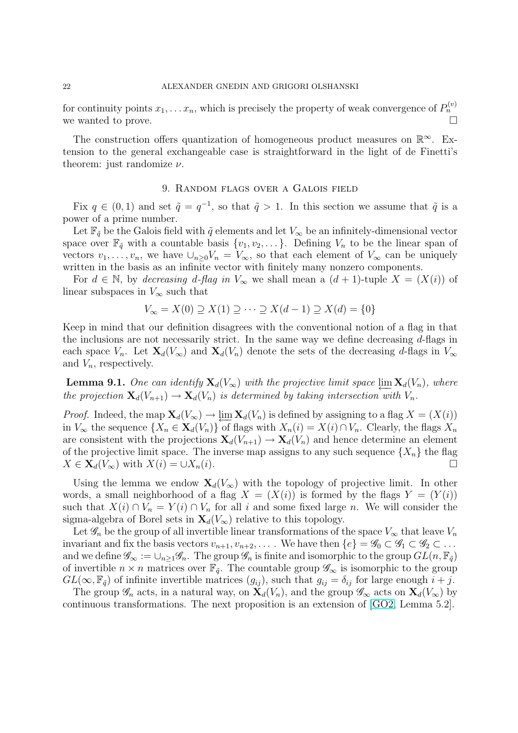<span id="page-21-0"></span>for continuity points  $x_1, \ldots x_n$ , which is precisely the property of weak convergence of  $P_n^{(v)}$ we wanted to prove.  $\Box$ 

The construction offers quantization of homogeneous product measures on  $\mathbb{R}^{\infty}$ . Extension to the general exchangeable case is straightforward in the light of de Finetti's theorem: just randomize  $\nu$ .

## 9. Random flags over a Galois field

Fix  $q \in (0,1)$  and set  $\tilde{q} = q^{-1}$ , so that  $\tilde{q} > 1$ . In this section we assume that  $\tilde{q}$  is a power of a prime number.

Let  $\mathbb{F}_{q}$  be the Galois field with  $\tilde{q}$  elements and let  $V_{\infty}$  be an infinitely-dimensional vector space over  $\mathbb{F}_{q}$  with a countable basis  $\{v_1, v_2, \dots\}$ . Defining  $V_n$  to be the linear span of vectors  $v_1, \ldots, v_n$ , we have  $\cup_{n\geq 0} V_n = V_\infty$ , so that each element of  $V_\infty$  can be uniquely written in the basis as an infinite vector with finitely many nonzero components.

For  $d \in \mathbb{N}$ , by decreasing d-flag in  $V_{\infty}$  we shall mean a  $(d + 1)$ -tuple  $X = (X(i))$  of linear subspaces in  $V_{\infty}$  such that

$$
V_{\infty} = X(0) \supseteq X(1) \supseteq \cdots \supseteq X(d-1) \supseteq X(d) = \{0\}
$$

Keep in mind that our definition disagrees with the conventional notion of a flag in that the inclusions are not necessarily strict. In the same way we define decreasing  $d$ -flags in each space  $V_n$ . Let  $\mathbf{X}_d(V_\infty)$  and  $\mathbf{X}_d(V_n)$  denote the sets of the decreasing d-flags in  $V_\infty$ and  $V_n$ , respectively.

**Lemma 9.1.** One can identify  $\mathbf{X}_d(V_\infty)$  with the projective limit space  $\varprojlim \mathbf{X}_d(V_n)$ , where the projection  $\mathbf{X}_d(V_{n+1}) \to \mathbf{X}_d(V_n)$  is determined by taking intersection with  $V_n$ .

*Proof.* Indeed, the map  $\mathbf{X}_d(V_\infty) \to \varprojlim \mathbf{X}_d(V_n)$  is defined by assigning to a flag  $X = (X(i))$ in  $V_{\infty}$  the sequence  $\{X_n \in \mathbf{X}_d(V_n)\}\$  of flags with  $X_n(i) = X(i) \cap V_n$ . Clearly, the flags  $X_n$ are consistent with the projections  $\mathbf{X}_d(V_{n+1}) \to \mathbf{X}_d(V_n)$  and hence determine an element of the projective limit space. The inverse map assigns to any such sequence  $\{X_n\}$  the flag  $X \in \mathbf{X}_d(V_\infty)$  with  $X(i) = \cup X_n(i)$ .

Using the lemma we endow  $\mathbf{X}_d(V_\infty)$  with the topology of projective limit. In other words, a small neighborhood of a flag  $X = (X(i))$  is formed by the flags  $Y = (Y(i))$ such that  $X(i) \cap V_n = Y(i) \cap V_n$  for all i and some fixed large n. We will consider the sigma-algebra of Borel sets in  $\mathbf{X}_d(V_\infty)$  relative to this topology.

Let  $\mathscr{G}_n$  be the group of all invertible linear transformations of the space  $V_\infty$  that leave  $V_n$ invariant and fix the basis vectors  $v_{n+1}, v_{n+2}, \ldots$ . We have then  $\{e\} = \mathscr{G}_0 \subset \mathscr{G}_1 \subset \mathscr{G}_2 \subset \ldots$ and we define  $\mathscr{G}_{\infty} := \cup_{n>1} \mathscr{G}_n$ . The group  $\mathscr{G}_n$  is finite and isomorphic to the group  $GL(n, \mathbb{F}_{\tilde{q}})$ of invertible  $n \times n$  matrices over  $\mathbb{F}_{q}$ . The countable group  $\mathscr{G}_{\infty}$  is isomorphic to the group  $GL(\infty, \mathbb{F}_{q})$  of infinite invertible matrices  $(g_{ij})$ , such that  $g_{ij} = \delta_{ij}$  for large enough  $i + j$ .

The group  $\mathscr{G}_n$  acts, in a natural way, on  $\mathbf{X}_d(V_n)$ , and the group  $\mathscr{G}_\infty$  acts on  $\mathbf{X}_d(V_\infty)$  by continuous transformations. The next proposition is an extension of [GO2, Lemma 5.2].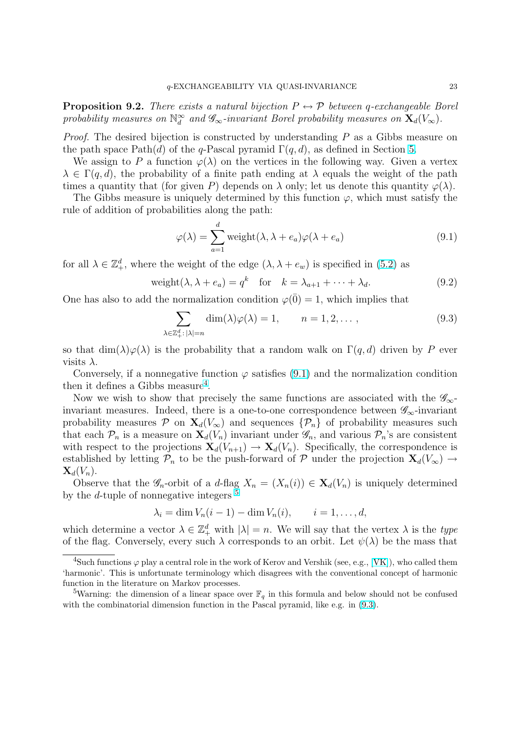<span id="page-22-0"></span>**Proposition 9.2.** There exists a natural bijection  $P \leftrightarrow \mathcal{P}$  between q-exchangeable Borel probability measures on  $\mathbb{N}_d^{\infty}$  and  $\mathscr{G}_{\infty}$ -invariant Borel probability measures on  $\mathbf{X}_d(V_{\infty})$ .

*Proof.* The desired bijection is constructed by understanding  $P$  as a Gibbs measure on the path space  $Path(d)$  of the q-Pascal pyramid  $\Gamma(q, d)$ , as defined in Section 5.

We assign to P a function  $\varphi(\lambda)$  on the vertices in the following way. Given a vertex  $\lambda \in \Gamma(q, d)$ , the probability of a finite path ending at  $\lambda$  equals the weight of the path times a quantity that (for given P) depends on  $\lambda$  only; let us denote this quantity  $\varphi(\lambda)$ .

The Gibbs measure is uniquely determined by this function  $\varphi$ , which must [s](#page-12-0)atisfy the rule of addition of probabilities along the path:

$$
\varphi(\lambda) = \sum_{a=1}^{d} \text{weight}(\lambda, \lambda + e_a) \varphi(\lambda + e_a)
$$
\n(9.1)

for all  $\lambda \in \mathbb{Z}_+^d$ , where the weight of the edge  $(\lambda, \lambda + e_w)$  is specified in (5.2) as

$$
weight(\lambda, \lambda + e_a) = q^k \quad \text{for} \quad k = \lambda_{a+1} + \dots + \lambda_d. \tag{9.2}
$$

One has also to add the normalization condition  $\varphi(\overline{0}) = 1$ , which impli[es th](#page-13-0)at

$$
\sum_{\lambda \in \mathbb{Z}_+^d : |\lambda| = n} \dim(\lambda) \varphi(\lambda) = 1, \qquad n = 1, 2, \dots,
$$
\n(9.3)

so that  $\dim(\lambda)\varphi(\lambda)$  is the probability that a random walk on  $\Gamma(q, d)$  driven by P ever visits  $\lambda$ .

Conversely, if a nonnegative function  $\varphi$  satisfies (9.1) and the normalization condition then it defines a Gibbs measure<sup>4</sup>.

Now we wish to show that precisely the same functions are associated with the  $\mathscr{G}_{\infty}$ invariant measures. Indeed, there is a one-to-one correspondence between  $\mathscr{G}_{\infty}$ -invariant probability measures  $\mathcal P$  on  $\mathbf X_d(V_\infty)$  and sequences  $\{\mathcal P_n\}$  of probability measures such that each  $\mathcal{P}_n$  is a measure on  $\mathbf{X}_d(V_n)$  invariant under  $\mathscr{G}_n$ , and various  $\mathcal{P}_n$ 's are consistent with respect to the projections  $\mathbf{X}_d(V_{n+1}) \to \mathbf{X}_d(V_n)$ . Specifically, the correspondence is established by letting  $\mathcal{P}_n$  to be the push-forward of P under the projection  $\mathbf{X}_d(V_\infty) \to$  $\mathbf{X}_d(V_n)$ .

Observe that the  $\mathscr{G}_n$ -orbit of a d-flag  $X_n = (X_n(i)) \in \mathbf{X}_d(V_n)$  is uniquely determined by the d-tuple of nonnegative integers  $5$ 

$$
\lambda_i = \dim V_n(i-1) - \dim V_n(i), \qquad i = 1, \ldots, d,
$$

which determine a vector  $\lambda \in \mathbb{Z}_+^d$  with  $|\lambda| = n$ . We will say that the vertex  $\lambda$  is the type of the flag. Conversely, every such  $\lambda$  corresponds to an orbit. Let  $\psi(\lambda)$  be the mass that

<sup>&</sup>lt;sup>4</sup>Such functions  $\varphi$  play a central role in the work of Kerov and Vershik (see, e.g., [VK]), who called them 'harmonic'. This is unfortunate terminology which disagrees with the conventional concept of harmonic function in the literature on Markov processes.

<sup>&</sup>lt;sup>5</sup>Warning: the dimension of a linear space over  $\mathbb{F}_q$  in this formula and below should not be confused with the combinatorial dimension function in the Pascal pyramid, like e.g. in  $(9.3)$ .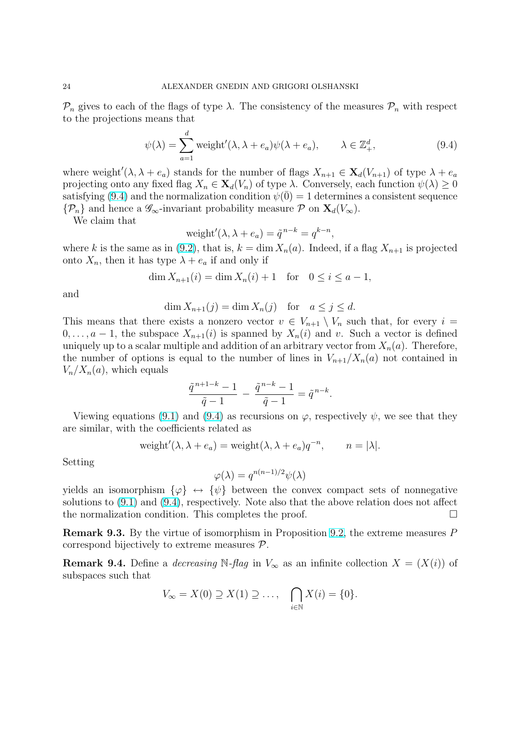$\mathcal{P}_n$  gives to each of the flags of type  $\lambda$ . The consistency of the measures  $\mathcal{P}_n$  with respect to the projections means that

$$
\psi(\lambda) = \sum_{a=1}^{d} \text{weight}'(\lambda, \lambda + e_a) \psi(\lambda + e_a), \qquad \lambda \in \mathbb{Z}_+^d,
$$
\n(9.4)

where weight'( $\lambda, \lambda + e_a$ ) stands for the number of flags  $X_{n+1} \in \mathbf{X}_d(V_{n+1})$  of type  $\lambda + e_a$ projecting onto any fixed flag  $X_n \in \mathbf{X}_d(V_n)$  of type  $\lambda$ . Conversely, each function  $\psi(\lambda) \geq 0$ satisfying (9.4) and the normalization condition  $\psi(\overline{0}) = 1$  determines a consistent sequence  $\{\mathcal{P}_n\}$  and hence a  $\mathscr{G}_{\infty}$ -invariant probability measure  $\mathcal{P}$  on  $\mathbf{X}_d(V_{\infty})$ .

We claim that

$$
weight'(\lambda, \lambda + e_a) = \tilde{q}^{n-k} = q^{k-n},
$$

where k is the same as in (9.2), that is,  $k = \dim X_n(a)$ . Indeed, if a flag  $X_{n+1}$  is projected onto  $X_n$ , then it has type  $\lambda + e_a$  if and only if

$$
\dim X_{n+1}(i) = \dim X_n(i) + 1 \text{ for } 0 \le i \le a-1,
$$

and

$$
\dim X_{n+1}(j) = \dim X_n(j) \quad \text{for} \quad a \le j \le d.
$$

This means that there exists a nonzero vector  $v \in V_{n+1} \setminus V_n$  such that, for every  $i =$  $0, \ldots, a-1$ , the subspace  $X_{n+1}(i)$  is spanned by  $X_n(i)$  and v. Such a vector is defined uniquely up to a scalar multiple and addition of an arbitrary vector from  $X_n(a)$ . Therefore, the number of options is equal to the number of lines in  $V_{n+1}/X_n(a)$  not contained in  $V_n/X_n(a)$ , which equals

$$
\frac{\tilde{q}^{n+1-k}-1}{\tilde{q}-1} - \frac{\tilde{q}^{n-k}-1}{\tilde{q}-1} = \tilde{q}^{n-k}.
$$

Viewing equations (9.1) and (9.4) as recursions on  $\varphi$ , respectively  $\psi$ , we see that they are similar, with the coefficients related as

$$
weight'(\lambda, \lambda + e_a) = weight(\lambda, \lambda + e_a)q^{-n}, \qquad n = |\lambda|.
$$

Setting

$$
\varphi(\lambda) = q^{n(n-1)/2} \psi(\lambda)
$$

yields an isomorphism  $\{\varphi\} \leftrightarrow \{\psi\}$  between the convex compact sets of nonnegative solutions to (9.1) and (9.4), respectively. Note also that the above relation does not affect the normalization condition. This completes the proof.  $\Box$ 

Remark 9.3. By the virtue of isomorphism in Proposition 9.2, the extreme measures P correspond [bijec](#page-22-0)tively to extreme measures P.

**Remark 9.4.** Define a *decreasing* N-flag in  $V_\infty$  as an infinite collection  $X = (X(i))$  of subspaces such that

$$
V_{\infty}=X(0)\supseteq X(1)\supseteq\ldots,\quad \bigcap_{i\in\mathbb{N}}X(i)=\{0\}.
$$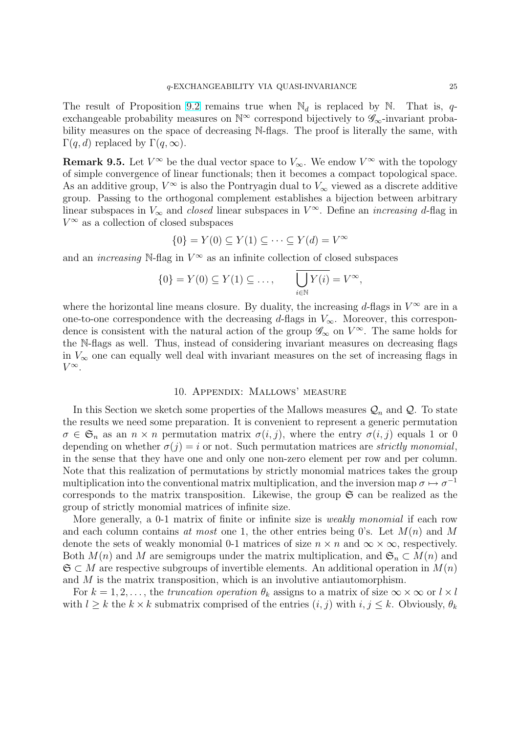<span id="page-24-0"></span>The result of Proposition 9.2 remains true when  $\mathbb{N}_d$  is replaced by  $\mathbb{N}$ . That is, qexchangeable probability measures on  $\mathbb{N}^{\infty}$  correspond bijectively to  $\mathscr{G}_{\infty}$ -invariant probability measures on the space of decreasing N-flags. The proof is literally the same, with Γ $(q, d)$  replaced by Γ $(q, ∞)$ [.](#page-21-0)

**Remark 9.5.** Let  $V^{\infty}$  be the dual vector space to  $V_{\infty}$ . We endow  $V^{\infty}$  with the topology of simple convergence of linear functionals; then it becomes a compact topological space. As an additive group,  $V^{\infty}$  is also the Pontryagin dual to  $V_{\infty}$  viewed as a discrete additive group. Passing to the orthogonal complement establishes a bijection between arbitrary linear subspaces in  $V_{\infty}$  and *closed* linear subspaces in  $V^{\infty}$ . Define an *increasing d*-flag in  $V^{\infty}$  as a collection of closed subspaces

$$
\{0\} = Y(0) \subseteq Y(1) \subseteq \cdots \subseteq Y(d) = V^{\infty}
$$

and an *increasing* N-flag in  $V^{\infty}$  as an infinite collection of closed subspaces

$$
\{0\} = Y(0) \subseteq Y(1) \subseteq \dots, \qquad \overline{\bigcup_{i \in \mathbb{N}} Y(i)} = V^{\infty},
$$

where the horizontal line means closure. By duality, the increasing d-flags in  $V^{\infty}$  are in a one-to-one correspondence with the decreasing d-flags in  $V_{\infty}$ . Moreover, this correspondence is consistent with the natural action of the group  $\mathscr{G}_{\infty}$  on  $V^{\infty}$ . The same holds for the N-flags as well. Thus, instead of considering invariant measures on decreasing flags in  $V_{\infty}$  one can equally well deal with invariant measures on the set of increasing flags in  $V^{\infty}$ .

## 10. Appendix: Mallows' measure

In this Section we sketch some properties of the Mallows measures  $\mathcal{Q}_n$  and  $\mathcal{Q}$ . To state the results we need some preparation. It is convenient to represent a generic permutation  $\sigma \in \mathfrak{S}_n$  as an  $n \times n$  permutation matrix  $\sigma(i, j)$ , where the entry  $\sigma(i, j)$  equals 1 or 0 depending on whether  $\sigma(j) = i$  or not. Such permutation matrices are *strictly monomial*, in the sense that they have one and only one non-zero element per row and per column. Note that this realization of permutations by strictly monomial matrices takes the group multiplication into the conventional matrix multiplication, and the inversion map  $\sigma \mapsto \sigma^{-1}$ corresponds to the matrix transposition. Likewise, the group  $\mathfrak S$  can be realized as the group of strictly monomial matrices of infinite size.

More generally, a 0-1 matrix of finite or infinite size is *weakly monomial* if each row and each column contains at most one 1, the other entries being 0's. Let  $M(n)$  and M denote the sets of weakly monomial 0-1 matrices of size  $n \times n$  and  $\infty \times \infty$ , respectively. Both  $M(n)$  and M are semigroups under the matrix multiplication, and  $\mathfrak{S}_n \subset M(n)$  and  $\mathfrak{S} \subset M$  are respective subgroups of invertible elements. An additional operation in  $M(n)$ and M is the matrix transposition, which is an involutive antiautomorphism.

For  $k = 1, 2, \ldots$ , the truncation operation  $\theta_k$  assigns to a matrix of size  $\infty \times \infty$  or  $l \times l$ with  $l \geq k$  the  $k \times k$  submatrix comprised of the entries  $(i, j)$  with  $i, j \leq k$ . Obviously,  $\theta_k$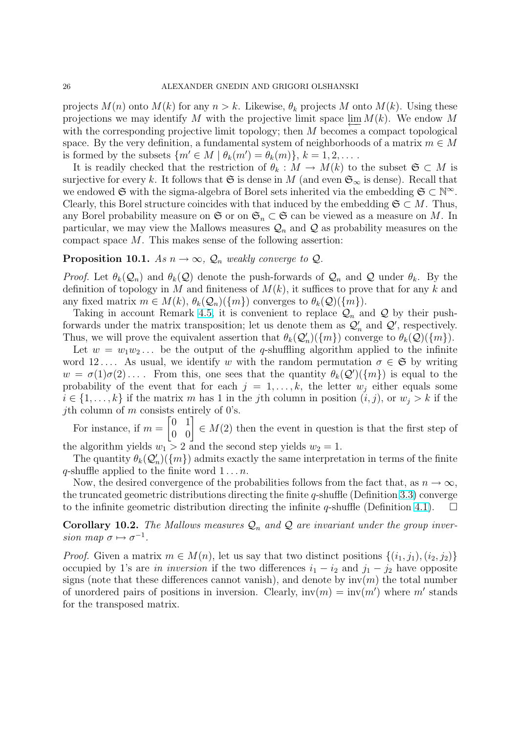<span id="page-25-0"></span>projects  $M(n)$  onto  $M(k)$  for any  $n > k$ . Likewise,  $\theta_k$  projects M onto  $M(k)$ . Using these projections we may identify M with the projective limit space  $\varprojlim M(k)$ . We endow M with the corresponding projective limit topology; then  $M$  becomes a compact topological space. By the very definition, a fundamental system of neighborhoods of a matrix  $m \in M$ is formed by the subsets  $\{m' \in M \mid \theta_k(m') = \theta_k(m)\}, k = 1, 2, \dots$ .

It is readily checked that the restriction of  $\theta_k : M \to M(k)$  to the subset  $\mathfrak{S} \subset M$  is surjective for every k. It follows that G is dense in M (and even  $\mathfrak{S}_{\infty}$  is dense). Recall that we endowed  $\mathfrak{S}$  with the sigma-algebra of Borel sets inherited via the embedding  $\mathfrak{S} \subset \mathbb{N}^{\infty}$ . Clearly, this Borel structure coincides with that induced by the embedding  $\mathfrak{S} \subset M$ . Thus, any Borel probability measure on  $\mathfrak{S}$  or on  $\mathfrak{S}_n \subset \mathfrak{S}$  can be viewed as a measure on M. In particular, we may view the Mallows measures  $\mathcal{Q}_n$  and  $\mathcal Q$  as probability measures on the compact space  $M$ . This makes sense of the following assertion:

# **Proposition 10.1.** As  $n \to \infty$ ,  $\mathcal{Q}_n$  weakly converge to  $\mathcal{Q}_n$ .

*Proof.* Let  $\theta_k(Q_n)$  and  $\theta_k(Q)$  denote the push-forwards of  $Q_n$  and Q under  $\theta_k$ . By the definition of topology in M and finiteness of  $M(k)$ , it suffices to prove that for any k and any fixed matrix  $m \in M(k)$ ,  $\theta_k(\mathcal{Q}_n)(\{m\})$  converges to  $\theta_k(\mathcal{Q})(\{m\})$ .

Taking in account Remark 4.5, it is convenient to replace  $\mathcal{Q}_n$  and  $\mathcal Q$  by their pushforwards under the matrix transposition; let us denote them as  $\mathcal{Q}'_n$  and  $\mathcal{Q}'$ , respectively. Thus, we will prove the equivalent assertion that  $\theta_k(Q'_n)(\{m\})$  converge to  $\theta_k(Q)(\{m\})$ .

Let  $w = w_1w_2...$  be the output of the q-shuffling algorithm applied to the infinite word 12.... As usual, we id[entif](#page-9-0)y w with the random permutation  $\sigma \in \mathfrak{S}$  by writing  $w = \sigma(1)\sigma(2) \ldots$ . From this, one sees that the quantity  $\theta_k(Q')(\lbrace m \rbrace)$  is equal to the probability of the event that for each  $j = 1, \ldots, k$ , the letter  $w_j$  either equals some  $i \in \{1, \ldots, k\}$  if the matrix m has 1 in the jth column in position  $(i, j)$ , or  $w_i > k$  if the *j*th column of *m* consists entirely of 0's.

For instance, if  $m = \begin{bmatrix} 0 & 1 \\ 0 & 0 \end{bmatrix}$ s entirely of U's.<br>  $\begin{bmatrix} 0 & 1 \\ 0 & 0 \end{bmatrix} \in M(2)$  then the event in question is that the first step of the algorithm yields  $w_1 > 2$  and the second step yields  $w_2 = 1$ .

The quantity  $\theta_k(Q'_n)(\{m\})$  admits exactly the same interpretation in terms of the finite q-shuffle applied to the finite word  $1 \ldots n$ .

Now, the desired convergence of the probabilities follows from the fact that, as  $n \to \infty$ , the truncated geometric distributions directing the finite q-shuffle (Definition 3.3) converge to the infinite geometric distribution directing the infinite q-shuffle (Definition 4.1).  $\Box$ 

**Corollary 10.2.** The Mallows measures  $\mathcal{Q}_n$  and  $\mathcal{Q}$  are invariant under the group inversion map  $\sigma \mapsto \sigma^{-1}$ .

*Proof.* Given a matrix  $m \in M(n)$  $m \in M(n)$ , let us say that two distinct positions  $\{(i_1, j_1), (i_2, j_2)\}$ occupied by 1's are in inversion if the two differences  $i_1 - i_2$  and  $j_1 - j_2$  have opposite signs (note that these differences cannot vanish), and denote by  $inv(m)$  the total number of unordered pairs of positions in inversion. Clearly,  $inv(m) = inv(m')$  where m' stands for the transposed matrix.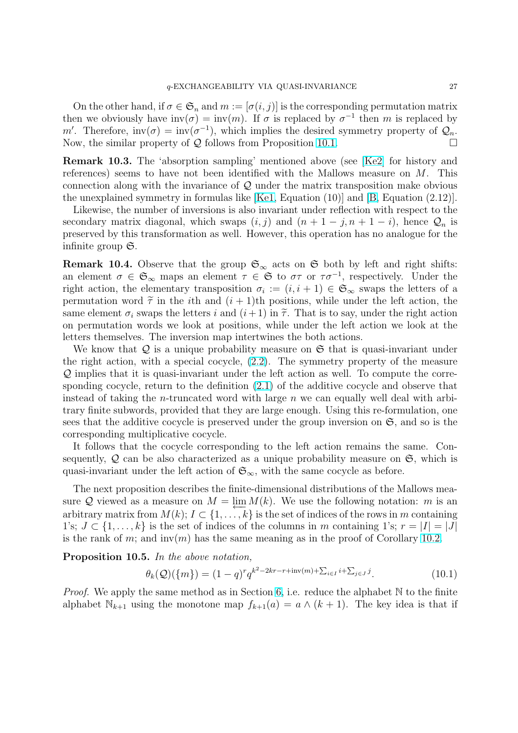<span id="page-26-0"></span>On the other hand, if  $\sigma \in \mathfrak{S}_n$  and  $m := [\sigma(i, j)]$  is the corresponding permutation matrix then we obviously have  $inv(\sigma) = inv(m)$ . If  $\sigma$  is replaced by  $\sigma^{-1}$  then m is replaced by m'. Therefore,  $inv(\sigma) = inv(\sigma^{-1})$ , which implies the desired symmetry property of  $\mathcal{Q}_n$ . Now, the similar property of  $Q$  follows from Proposition 10.1.  $\square$ 

Remark 10.3. The 'absorption sampling' mentioned above (see [Ke2] for history and references) seems to have not been identified with the Mallows measure on M. This connection along with the invariance of  $\mathcal Q$  under the ma[trix t](#page-25-0)ransposition make obvious the unexplained symmetry in formulas like  $[Ke1, Equation (10)]$  and  $[B, Equation (2.12)].$ 

Likewise, the number of inversions is also invariant under reflecti[on wi](#page-29-0)th respect to the secondary matrix diagonal, which swaps  $(i, j)$  and  $(n + 1 - j, n + 1 - i)$ , hence  $\mathcal{Q}_n$  is preserved by this transformation as well. H[owev](#page-29-0)er, this operation ha[s n](#page-28-0)o analogue for the infinite group  $\mathfrak{S}$ .

**Remark 10.4.** Observe that the group  $\mathfrak{S}_{\infty}$  acts on  $\mathfrak{S}$  both by left and right shifts: an element  $\sigma \in \mathfrak{S}_{\infty}$  maps an element  $\tau \in \mathfrak{S}$  to  $\sigma\tau$  or  $\tau\sigma^{-1}$ , respectively. Under the right action, the elementary transposition  $\sigma_i := (i, i + 1) \in \mathfrak{S}_{\infty}$  swaps the letters of a permutation word  $\tilde{\tau}$  in the *i*th and  $(i + 1)$ th positions, while under the left action, the same element  $\sigma_i$  swaps the letters i and  $(i+1)$  in  $\tilde{\tau}$ . That is to say, under the right action on permutation words we look at positions, while under the left action we look at the letters themselves. The inversion map intertwines the both actions.

We know that  $Q$  is a unique probability measure on  $\mathfrak S$  that is quasi-invariant under the right action, with a special cocycle, (2.2). The symmetry property of the measure Q implies that it is quasi-invariant under the left action as well. To compute the corresponding cocycle, return to the definition (2.1) of the additive cocycle and observe that instead of taking the *n*-truncated word with large  $n$  we can equally well deal with arbitrary finite subwords, provided that they [are l](#page-3-0)arge enough. Using this re-formulation, one sees that the additive cocycle is preserved [unde](#page-3-0)r the group inversion on  $\mathfrak{S}$ , and so is the corresponding multiplicative cocycle.

It follows that the cocycle corresponding to the left action remains the same. Consequently,  $Q$  can be also characterized as a unique probability measure on  $\mathfrak{S}$ , which is quasi-invariant under the left action of  $\mathfrak{S}_{\infty}$ , with the same cocycle as before.

The next proposition describes the finite-dimensional distributions of the Mallows measure Q viewed as a measure on  $M = \lim_{k \to \infty} M(k)$ . We use the following notation: m is an arbitrary matrix from  $M(k)$ ;  $I \subset \{1, \ldots, k\}$  is the set of indices of the rows in m containing 1's;  $J \subset \{1, \ldots, k\}$  is the set of indices of the columns in m containing 1's;  $r = |I| = |J|$ is the rank of m; and  $inv(m)$  has the same meaning as in the proof of Corollary 10.2.

Proposition 10.5. In the above notation,

$$
\theta_k(Q)(\{m\}) = (1-q)^r q^{k^2 - 2kr - r + inv(m) + \sum_{i \in I} i + \sum_{j \in J} j}.
$$
\n(10.1)

*Proof.* We apply the same method as in Section 6, i.e. reduce the alphabet  $\mathbb N$  to the finite alphabet  $\mathbb{N}_{k+1}$  using the monotone map  $f_{k+1}(a) = a \wedge (k+1)$ . The key idea is that if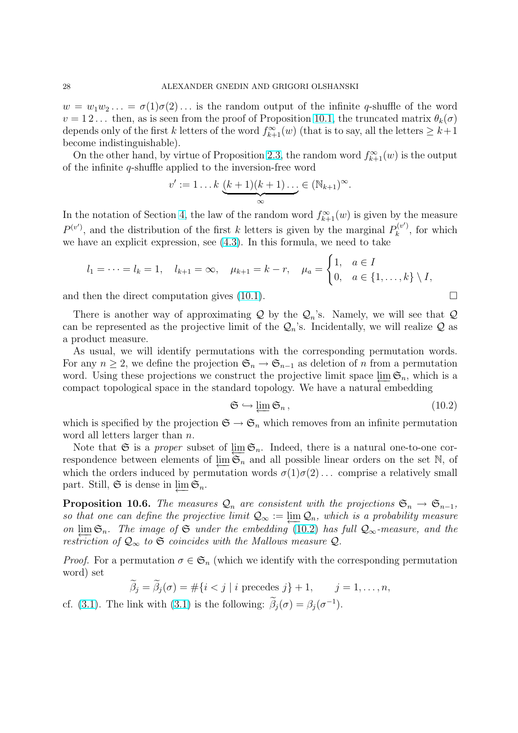$w = w_1w_2... = \sigma(1)\sigma(2)...$  is the random output of the infinite q-shuffle of the word  $v = 12...$  then, as is seen from the proof of Proposition 10.1, the truncated matrix  $\theta_k(\sigma)$ depends only of the first k letters of the word  $f_{k+1}^{\infty}(w)$  (that is to say, all the letters  $\geq k+1$ become indistinguishable).

On the other hand, by virtue of Proposition 2.3, the ra[ndom](#page-25-0) word  $f_{k+1}^{\infty}(w)$  is the output of the infinite q-shuffle applied to the inversion-free word

$$
v' := 1 \dots k \underbrace{(k+1)(k+1)\dots}_{\infty} \in (\mathbb{N}_{k+1})^{\infty}.
$$

In the notation of Section 4, the law of the random word  $f_{k+1}^{\infty}(w)$  is given by the measure  $P^{(v')}$ , and the distribution of the first k letters is given by the marginal  $P_k^{(v')}$  $\mathbf{R}_k^{(v)}$ , for which we have an explicit expression, see (4.3). In this formula, we need to take  $\overline{a}$ 

$$
l_1 = \cdots = l_k = 1, \quad l_{k+1} = \infty, \quad \mu_{k+1} = k - r, \quad \mu_a = \begin{cases} 1, & a \in I \\ 0, & a \in \{1, \ldots, k\} \setminus I, \end{cases}
$$

and then the direct computation gives  $(10.1)$ .

There is another way of approximating  $\mathcal Q$  by the  $\mathcal Q_n$ 's. Namely, we will see that  $\mathcal Q$ can be represented as the projective limit of the  $\mathcal{Q}_n$ 's. Incidentally, we will realize  $\mathcal Q$  as a product measure.

As usual, we will identify permutations with the corresponding permutation words. For any  $n \geq 2$ , we define the projection  $\mathfrak{S}_n \to \mathfrak{S}_{n-1}$  as deletion of n from a permutation word. Using these projections we construct the projective limit space  $\varprojlim \mathfrak{S}_n$ , which is a compact topological space in the standard topology. We have a natural embedding

$$
\mathfrak{S} \hookrightarrow \varprojlim \mathfrak{S}_n, \tag{10.2}
$$

which is specified by the projection  $\mathfrak{S} \to \mathfrak{S}_n$  which removes from an infinite permutation word all letters larger than n.

Note that G is a *proper* subset of  $\varprojlim_{n} \mathfrak{S}_n$ . Indeed, there is a natural one-to-one correspondence between elements of  $\varprojlim \mathfrak{S}_n$  and all possible linear orders on the set N, of which the orders induced by permutation words  $\sigma(1)\sigma(2)$ ... comprise a relatively small part. Still,  $\mathfrak{S}$  is dense in  $\varprojlim \mathfrak{S}_n$ .

**Proposition 10.6.** The measures  $\mathcal{Q}_n$  are consistent with the projections  $\mathfrak{S}_n \to \mathfrak{S}_{n-1}$ , so that one can define the projective limit  $\mathcal{Q}_{\infty} := \lim_{n \to \infty} \mathcal{Q}_n$ , which is a probability measure on  $\lim_{n \to \infty}$   $\mathfrak{S}_n$ . The image of  $\mathfrak{S}$  under the embedding (10.2) has full  $\mathcal{Q}_\infty$ -measure, and the restriction of  $\mathcal{Q}_{\infty}$  to  $\mathfrak S$  coincides with the Mallows measure  $\mathcal{Q}$ .

*Proof.* For a permutation  $\sigma \in \mathfrak{S}_n$  (which we identify with the corresponding permutation word) set

$$
\widetilde{\beta}_j = \widetilde{\beta}_j(\sigma) = \#\{i < j \mid i \text{ precedes } j\} + 1, \quad j = 1, \dots, n,
$$

cf. (3.1). The link with (3.1) is the following:  $\tilde{\beta}_j(\sigma) = \beta_j(\sigma^{-1})$ .

$$
\Box
$$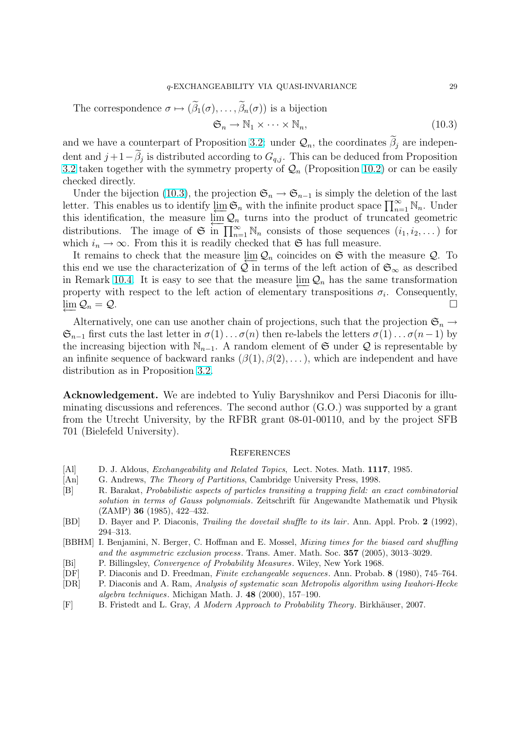<span id="page-28-0"></span>The correspondence  $\sigma \mapsto (\widetilde{\beta}_1(\sigma), \ldots, \widetilde{\beta}_n(\sigma))$  is a bijection

$$
\mathfrak{S}_n \to \mathbb{N}_1 \times \cdots \times \mathbb{N}_n,\tag{10.3}
$$

and we have a counterpart of Proposition 3.2: under  $\mathcal{Q}_n$ , the coordinates  $\widetilde{\beta}_j$  are independent and  $j+1-\widetilde{\beta}_j$  is distributed according to  $G_{q,j}$ . This can be deduced from Proposition 3.2 taken together with the symmetry property of  $\mathcal{Q}_n$  (Proposition 10.2) or can be easily checked directly.

Under the bijecti[on](#page-6-0) (10.3), the projection  $\mathfrak{S}_n \to \mathfrak{S}_{n-1}$  is simply the deletion of the last Under the bijection (10.3), the projection  $\mathfrak{S}_n \to \mathfrak{S}_{n-1}$  is simply the defection of the last<br>letter. This enables us to identify  $\varprojlim_{n=1} \mathfrak{S}_n$  with the infinite product space  $\prod_{n=1}^{\infty} \mathbb{N}_n$ . Under [this](#page-6-0) identification, the measure  $\lim_{n \to \infty} Q_n$  turns into the product of [trun](#page-25-0)cated geometric distributions. The image of  $\mathfrak{S}$  in  $\prod_{n=1}^{\infty} \mathbb{N}_n$  consists of those sequences  $(i_1, i_2, \dots)$  for which  $i_n \to \infty$ . From this it is readily checked that G has full measure.

It remains to check that the measure  $\lim_{n \to \infty} Q_n$  coincides on G with the measure Q. To this end we use the characterization of  $\hat{\mathcal{Q}}$  in terms of the left action of  $\mathfrak{S}_{\infty}$  as described in Remark 10.4. It is easy to see that the measure  $\varprojlim_{n} \mathcal{Q}_n$  has the same transformation property with respect to the left action of elementary transpositions  $\sigma_i$ . Consequently,  $\lim Q_n = Q$ .  $\mathcal{Q}_n = \mathcal{Q}.$ 

Alternat[ively,](#page-26-0) one can use another chain of projections, such that the projection  $\mathfrak{S}_n \to$  $\mathfrak{S}_{n-1}$  first cuts the last letter in  $\sigma(1)\ldots\sigma(n)$  then re-labels the letters  $\sigma(1)\ldots\sigma(n-1)$  by the increasing bijection with  $\mathbb{N}_{n-1}$ . A random element of G under Q is representable by an infinite sequence of backward ranks  $(\beta(1), \beta(2), \dots)$ , which are independent and have distribution as in Proposition 3.2.

Acknowledgement. We are indebted to Yuliy Baryshnikov and Persi Diaconis for illuminating discussions and references. The second author (G.O.) was supported by a grant from the Utrecht University, [by t](#page-6-0)he RFBR grant 08-01-00110, and by the project SFB 701 (Bielefeld University).

#### **REFERENCES**

- [Al] D. J. Aldous, *Exchangeability and Related Topics*, Lect. Notes. Math. **1117**, 1985.
- [An] G. Andrews, *The Theory of Partitions*, Cambridge University Press, 1998.
- [B] R. Barakat, Probabilistic aspects of particles transiting a trapping field: an exact combinatorial solution in terms of Gauss polynomials. Zeitschrift für Angewandte Mathematik und Physik (ZAMP) 36 (1985), 422–432.
- [BD] D. Bayer and P. Diaconis, Trailing the dovetail shuffle to its lair. Ann. Appl. Prob. 2 (1992), 294–313.
- [BBHM] I. Benjamini, N. Berger, C. Hoffman and E. Mossel, *Mixing times for the biased card shuffling* and the asymmetric exclusion process. Trans. Amer. Math. Soc. 357 (2005), 3013–3029.
- [Bi] P. Billingsley, Convergence of Probability Measures. Wiley, New York 1968.
- [DF] P. Diaconis and D. Freedman, Finite exchangeable sequences. Ann. Probab. 8 (1980), 745–764.
- [DR] P. Diaconis and A. Ram, Analysis of systematic scan Metropolis algorithm using Iwahori-Hecke algebra techniques. Michigan Math. J. 48 (2000), 157–190.
- [F] B. Fristedt and L. Gray, A Modern Approach to Probability Theory. Birkhäuser, 2007.